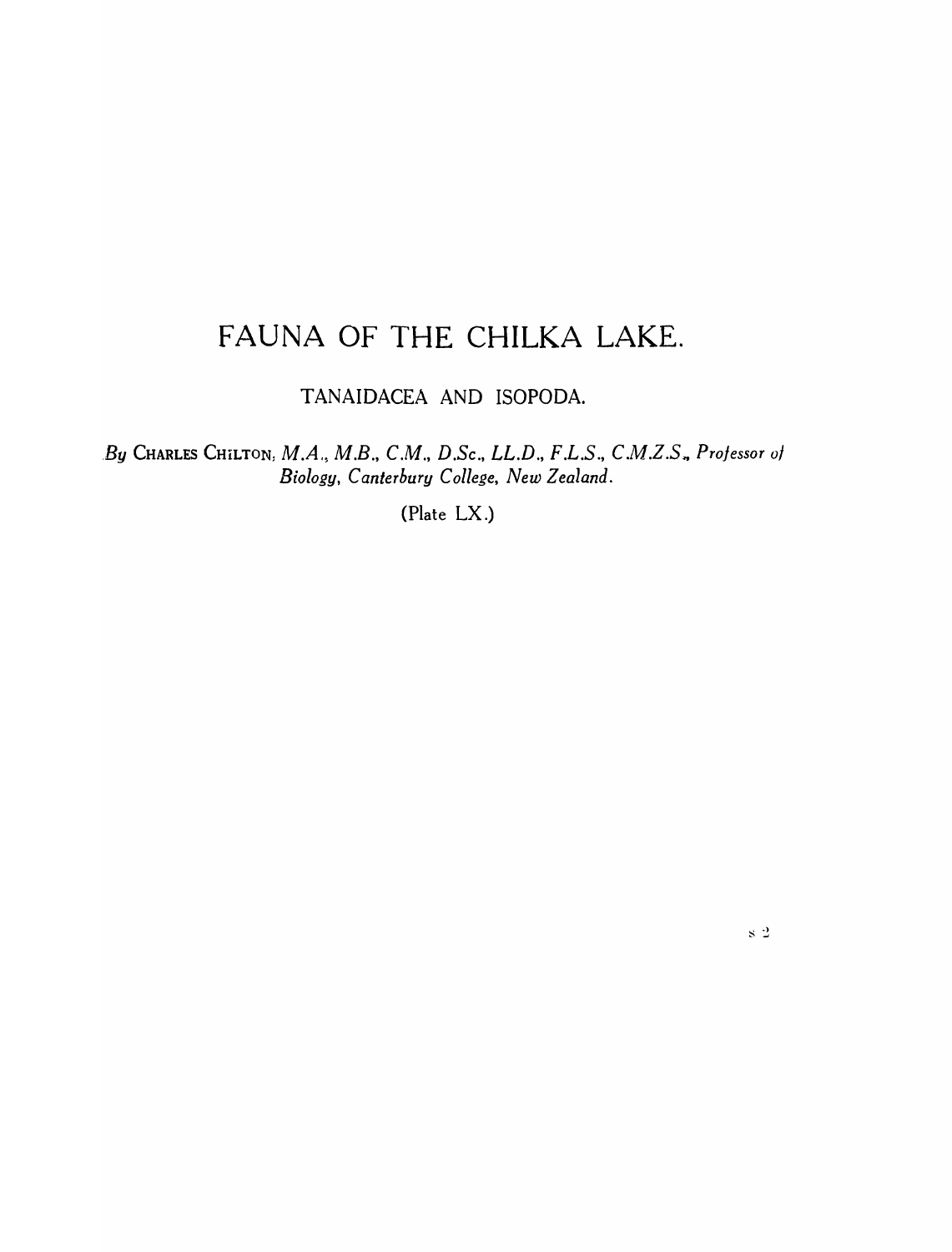# FAUNA OF THE CHILKA LAKE.

TANAIDACEA AND ISOPODA.

*. By* CHARLES CHiLTON: *M.A., M.B., C.M., D.Se., LL.D., F.L.S.,* C.M.Z.S~ *Professor* <sup>01</sup> *Biology, Canterbury College, New Zealand.* 

(Plate LX.)

 $\rm s$   $2$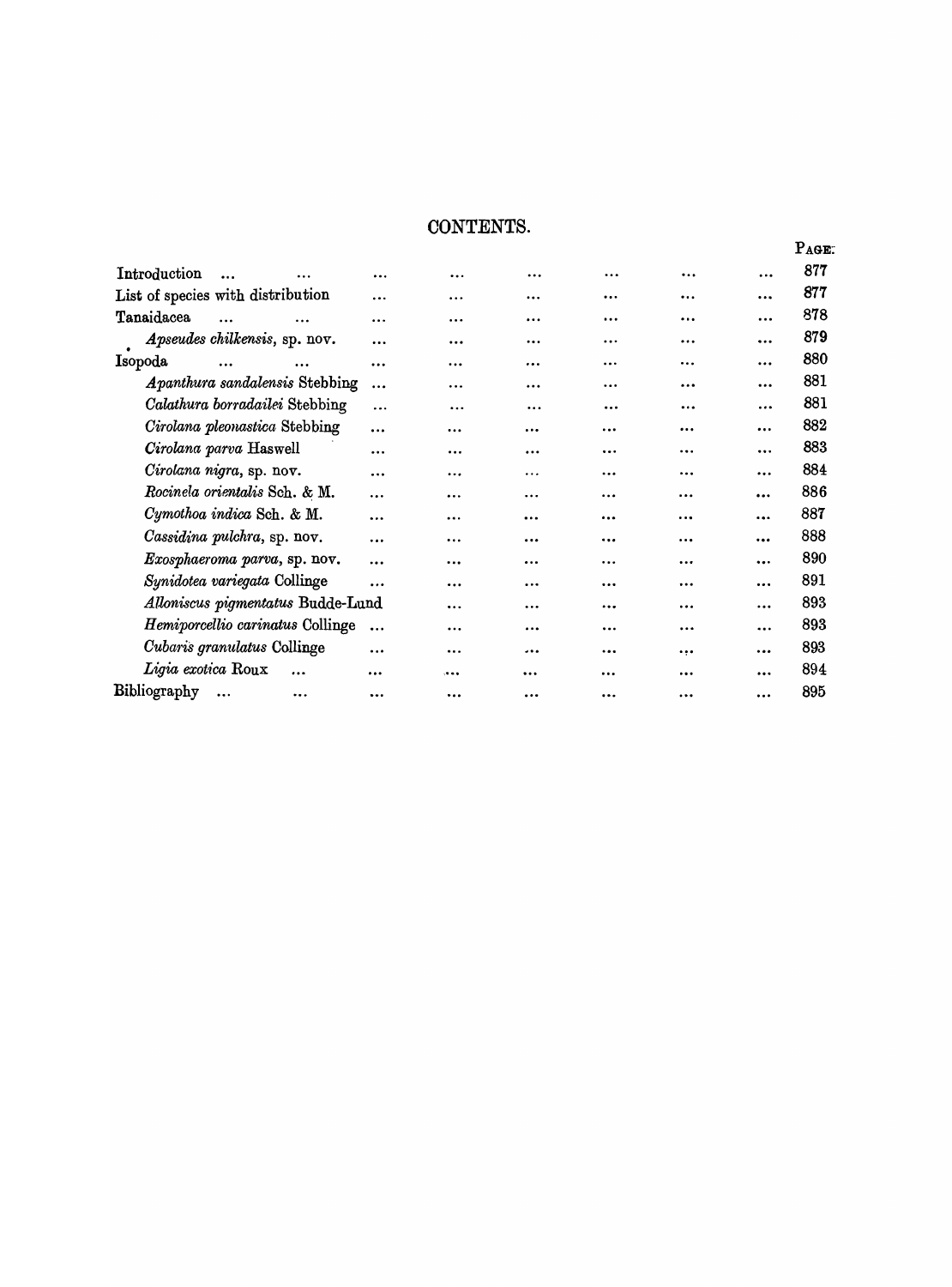## CONTENTS.

|                                   |                               |           |           |           |           |                         |           |           | PAGE: |
|-----------------------------------|-------------------------------|-----------|-----------|-----------|-----------|-------------------------|-----------|-----------|-------|
| Introduction                      |                               | $\cdots$  | $\cdots$  | $\cdots$  |           | $\ddotsc$               | $\ddotsc$ | $\cdots$  | 877   |
| List of species with distribution |                               |           | $\cdots$  | $\cdots$  | $\ddotsc$ |                         |           | $\ddotsc$ | 877   |
| Tanaidacea                        | $\cdots$                      | $\cdots$  | $\cdots$  | $\cdots$  |           | $\cdots$                |           |           | 878   |
|                                   | Apseudes chilkensis, sp. nov. |           |           | $\ddotsc$ | $\ddotsc$ |                         | .         |           | 879   |
| Isopoda                           | $\cdots$                      | $\ddotsc$ | $\ddotsc$ |           | $\cdots$  |                         |           | $\cdots$  | 880   |
| Apanthura sandalensis Stebbing    |                               |           | $\cdots$  | $\cdots$  | $\cdots$  |                         | .         | $\cdots$  | 881   |
| Calathura borradailei Stebbing    |                               |           |           | .         | $\ddotsc$ | $\cdots$                |           | $\cdots$  | 881   |
| Cirolana pleonastica Stebbing     |                               |           | .         |           | $\cdots$  | $\cdots$                | $\cdots$  |           | 882   |
| Cirolana parva Haswell            |                               |           |           |           |           | $\cdots$                | $\cdots$  | $\cdots$  | 883   |
| Cirolana nigra, sp. nov.          |                               |           | $\ddotsc$ |           | .         |                         | $\cdots$  |           | 884   |
| Rocinela orientalis Sch. & M.     |                               |           |           | $\cdots$  | $\cdots$  | $\cdots$                | $\cdots$  |           | 886   |
| Cymothoa indica Sch. & M.         |                               |           | $\ddotsc$ | $\cdots$  | $\ddotsc$ | $\bullet\bullet\bullet$ | $\cdots$  |           | 887   |
| Cassidina pulchra, sp. nov.       |                               |           | .         | $\ddotsc$ | $\ddotsc$ |                         |           | $\cdots$  | 888   |
| Exosphaeroma parva, sp. nov.      |                               |           | $\ddotsc$ |           | $\cdots$  |                         |           | $\cdots$  | 890   |
| Synidotea variegata Collinge      |                               |           | $\ddotsc$ |           | $\ddotsc$ | $\cdots$                | $\cdots$  | $\cdots$  | 891   |
| Alloniscus pigmentatus Budde-Lund |                               |           |           |           |           | $\cdots$                | $\cdots$  |           | 893   |
| Hemiporcellio carinatus Collinge  |                               |           | $\ddotsc$ |           |           | $\cdots$                |           |           | 893   |
| Cubaris granulatus Collinge       |                               |           |           |           |           | $\ddotsc$               | $\cdots$  |           | 893   |
|                                   | Ligia exotica Roux            |           |           |           |           |                         | $\ddotsc$ | $\cdots$  | 894   |
| Bibliography                      | $\ddotsc$                     |           |           | $\ddotsc$ | $\cdots$  | $\cdots$                |           | $\ddotsc$ | 895   |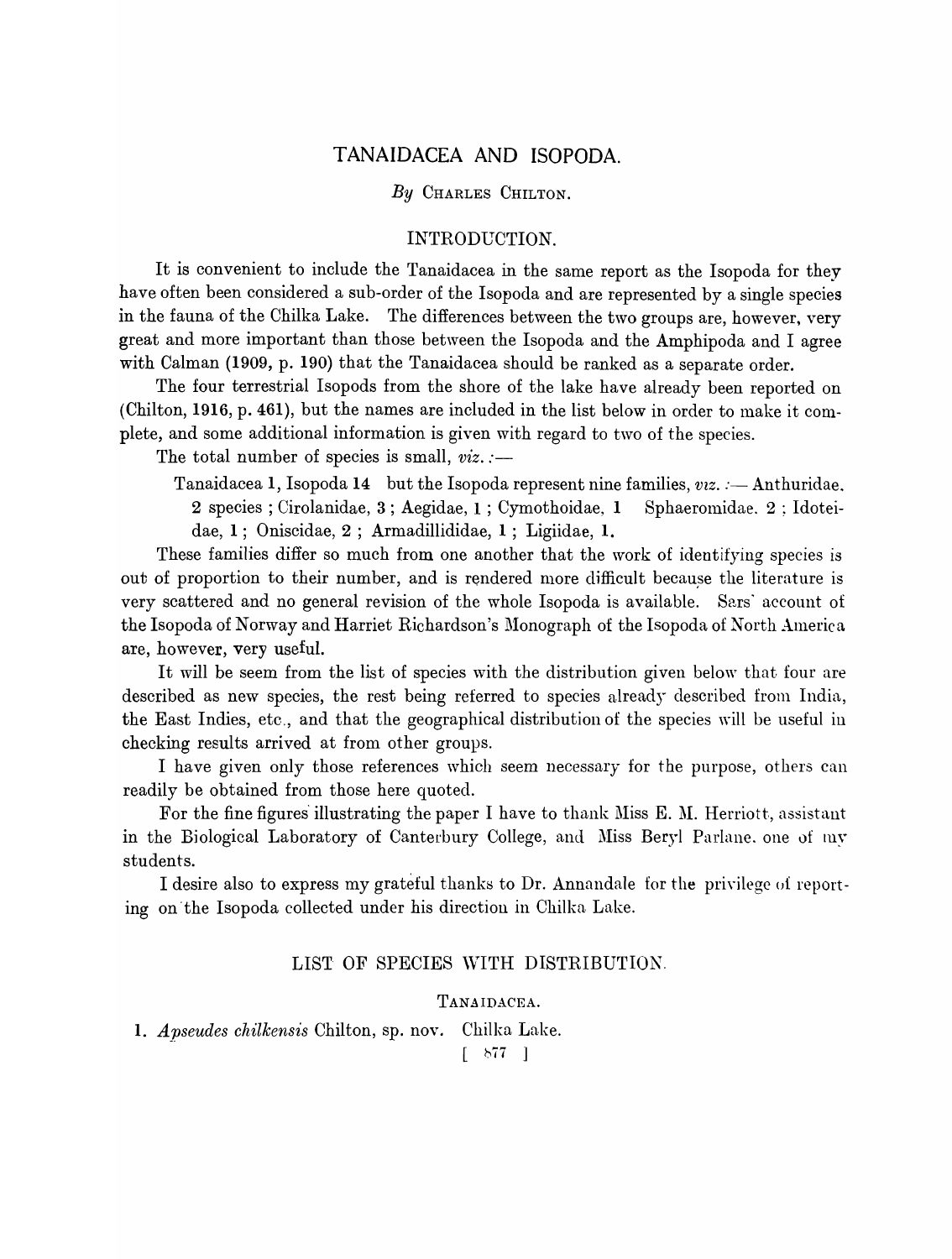## TANAIDACEA AND ISOPODA.

#### *By* CHARLES CHILTON.

#### INTRODUCTION.

It is convenient to include the Tanaidacea in the same report as the Isopoda for they have often been considered a sub-order of the Isopoda and are represented by a single species in the fauna of the Chilka Lake. The differences between the two groups are, however, very great and more important than those between the Isopoda and the Amphipoda and I agree with CaIman (1909, p. 190) that the Tanaidacea should be ranked as a separate order.

The four terrestrial Isopods from the shore of the lake have already been reported on (Chilton, 1916, p. 461), but the names are included in the list below in order to make it complete, and some additional information is given with regard to two of the species.

The total number of species is small,  $viz$ . :-

Tanaidacea 1, Isopoda 14 but the Isopoda represent nine families, *viz.* : - Anthuridae. 2 species; Cirolanidae, 3; Aegidae, 1; Cymothoidae, 1 Sphaeromidae. 2; Idoteidae, 1; Oniscidae, 2 ; Armadillididae, 1 ; Ligiidae, 1.

These families differ so much from one another that the work of identifying species is out of proportion to their number, and is rendered more difficult because the literature is very scattered and no general revision of the whole Isopoda is available. Sars' account of the Isopoda of Norway and Harriet Richardson's Monograph of the Isopoda of North America are, however, very useful.

It will be seem from the list of species with the distribution given below that four are described as new species, the rest being referred to species already described from India, the East Indies, etc., and that the geographical distribution of the species will be useful in checking results arrived at from other groups.

I have given only those references which seem necessary for the purpose, others can readily be obtained from those here quoted.

For the fine figures illustrating the paper I have to thank Miss E. M. Herriott, assistant in the Biological Laboratory of Canterbury College, and Miss Beryl Parlane. one of my students.

I desire also to express my grateful thanks to Dr. Annandale for the privilege of reporting on the Isopoda collected under his direction in Chilka Lake.

## LIST OF SPECIES WITH DISTRIBUTION.

## TANAIDACEA.

1. *Apseudes chilkensis* Chilton, sp. nov. Chilka Lake.

*[ b77 ]*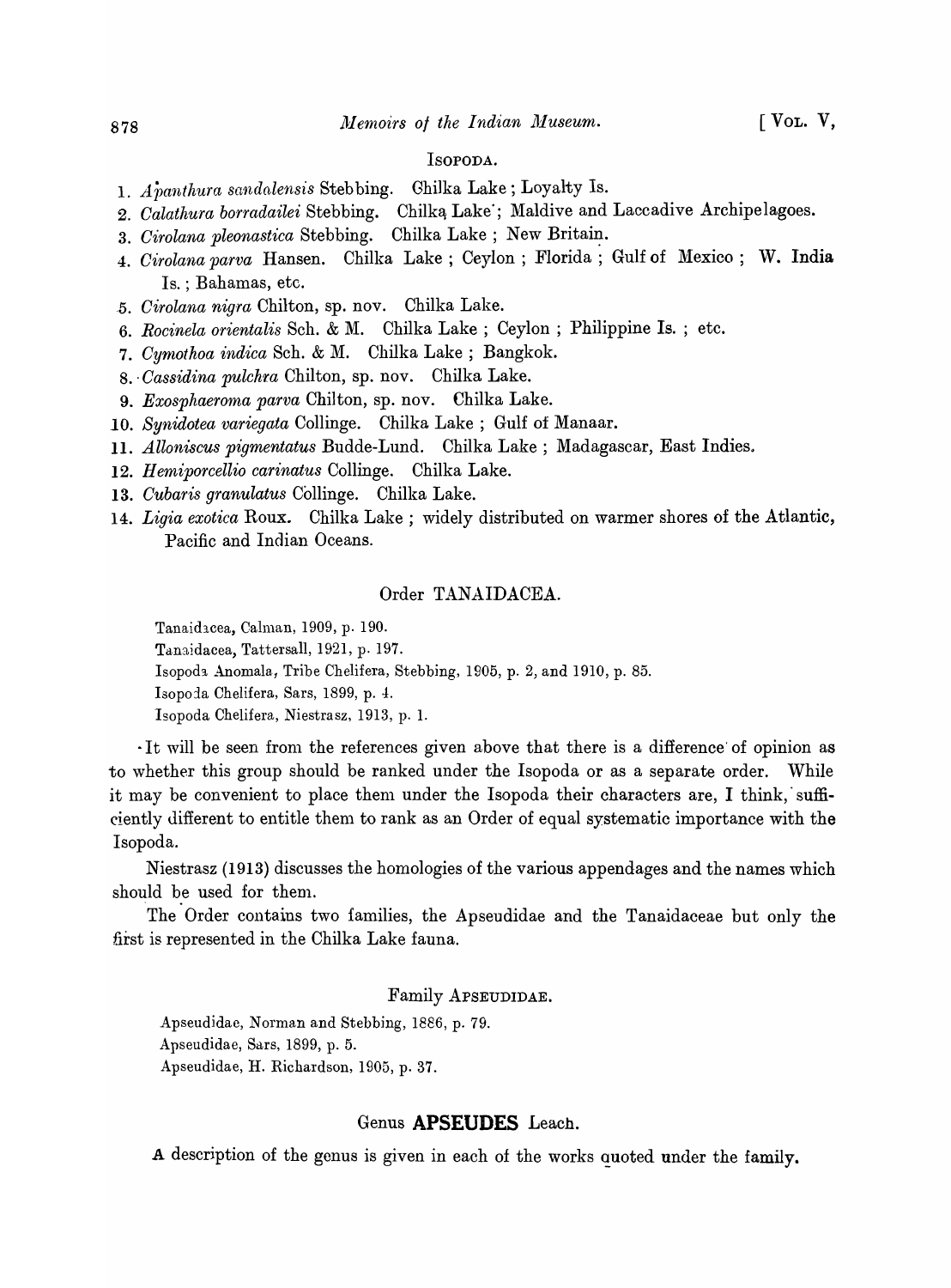#### ISOPODA.

- 1. *A panthura sandalensis* Steb bing. Ghilka Lake; Loyalty Is.
- 2. *Calathura borradailei* Stebbing. Chilką Lake'; Maldive and Laccadive Archipelagoes.
- 3. Cirolana pleonastica Stebbing. Chilka Lake; New Britain.
- 4. *Cirolana parva* Hansen. Chilka Lake; Ceylon; Florida; Gulf of Mexico; W. India Is. : Bahamas, etc.
- *. 5. Cirolana nig-ra* Chilton, sp. nov. Chilka Lake.
- 6. *Rocinela orientalis* Sch. & M. Chilka Lake ; Ceylon ; Philippine Is. ; etc.
- 7. Cymothoa indica Sch. & M. Chilka Lake; Bangkok.
- 8 .. *Cassidina pulchra* Chilton, sp. nov. Chilka Lake.
- 9. *Exosphaeroma parva* Chilton, sp. nov. Chilka Lake.
- *10. Synidotea variegata* Collinge. Chilka Lake; Gulf of Manaar.
- 11. *Alloniscus pigmentatus* Budde-Lund. Chilka Lake; Madagascar, East Indies.
- 12. *Hemiporcellio carinatus* Collinge. Chilka Lake.
- *13. Cubaris granulatus* Collinge. Chilka Lake.
- 14. *Ligia exotica* Roux. Chilka Lake; widely distributed on warmer shores of the Atlantic, Pacific and Indian Oceans.

#### Order TANAIDACEA.

Tanaidacea, Calman, 1909, p. 190.

Tanaidacea, Tattersall, 1921, p. 197.

Isopoda Anomala, Tribe Chelifera, Stebbing, 1905, p. 2, and 1910, p. 85.

Isopoia Chelifera, Sars, 1899, p. 4.

Isopoda Chelifera, Niestrasz, 1913, p. 1.

It will be seen from the references given above that there is a difference of opinion as to whether this group should be ranked under the Isopoda or as a separate order. While it may be convenient to place them under the Isopoda their characters are, I think, sufficiently different to entitle them to rank as an Order of equal systematic importance with the Isopoda.

Niestrasz (1913) discusses the homologies of the various appendages and the names which should be used for them.

The Order contains two families, the Apseudidae and the Tanaidaceae but only the first is represented in the Chilka Lake fauna.

#### Family ApSEUDIDAE.

Apseudidae, Norman and Stebbing, 1886, p. 79. Apseudidae, Sars, 1899, p. 5. Apseudidae, H. Richardson, 1905, p. 37.

## Genus **APSEUDES** Leach.

A descrjption of the genus is given in each of the works quoted under the family.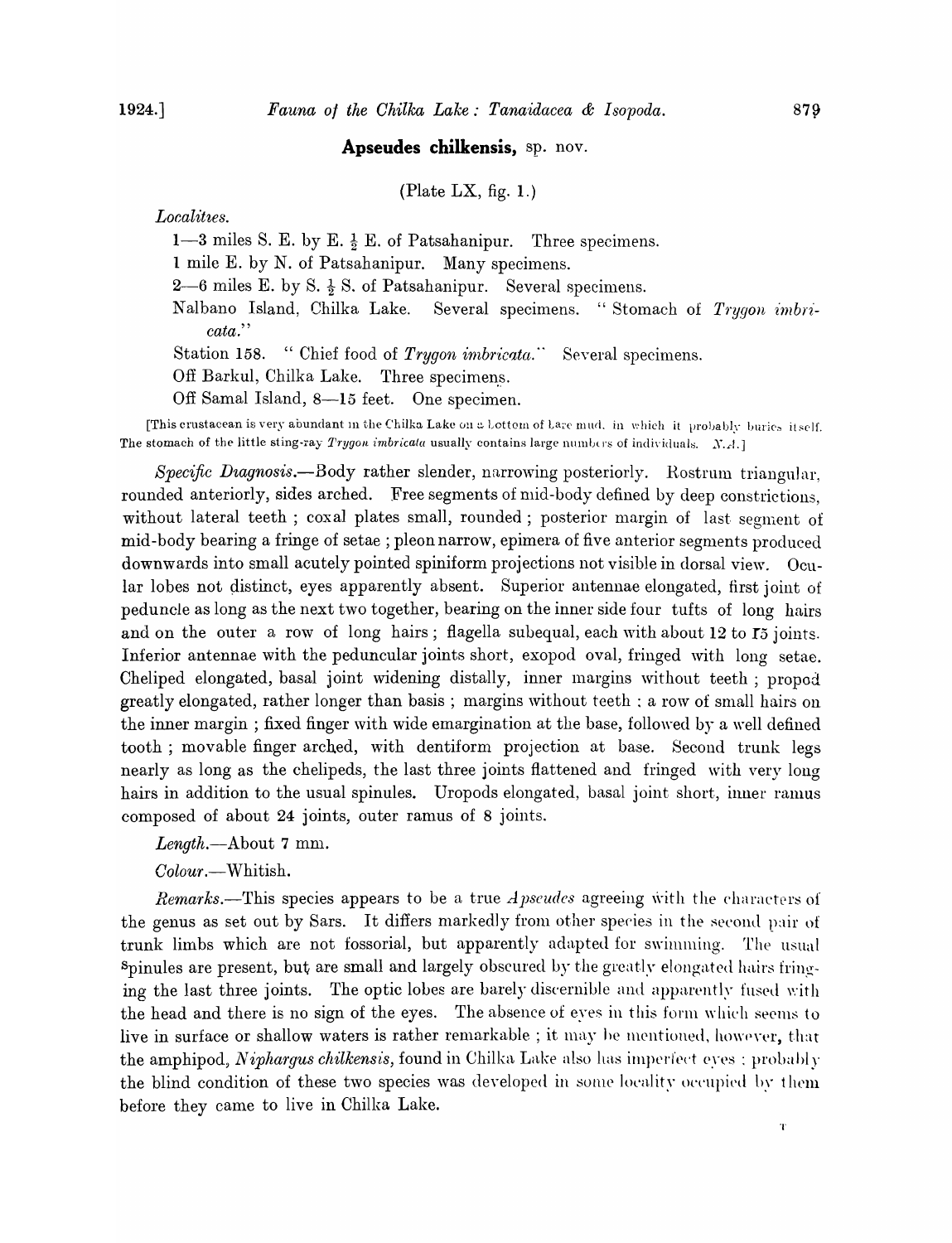## **Apseudes chilkensis,** sp. nov.

(Plate LX, fig.  $1$ .)

Localities.

1-3 miles S. E. by E.  $\frac{1}{2}$  E. of Patsahanipur. Three specimens.

1 mile E. by N. of Patsahanipur. Many specimens.

2-6 miles E. by S.  $\frac{1}{2}$  S. of Patsahanipur. Several specimens.

Nalbano Island, Chilka Lake. Several specimens. "Stomach of *Trygon imbricata."* 

Station 158. "Chief food of *Trygon imbricata*." Several specimens.

Off Barkul, Chilka Lake. Three specimens.

Off Samal Island, 8-15 feet. One specimen.

[This crustacean is very abundant in the Chilka Lake on a Lottom of Lare mud. in which it probably burics itself. The stomach of the little sting-ray *Trygon imbricata* usually contains large numbers of individuals. *N.A.*]

*Specific Diagnosis.*--Body rather slender, narrowing posteriorly. Rostrum triangular, rounded anteriorly, sides arched. Free segments of mid-body defined by deep constrictions. without lateral teeth; coxal plates small, rounded; posterior margin of last segment of mid-body bearing a fringe of setae; pleon narrow, epimera of five anterior segments produced downwards into small acutely pointed spiniform projections not visible in dorsal view. Ocular lobes not distinct, eyes apparently absent. Superior antennae elongated, first joint of peduncle as long as the next two together, bearing on the inner side four tufts of long hairs and on the outer a row of long hairs; flagella subequal, each with about 12 to  $I5$  joints. Inferior antennae with the peduncular joints short, exopod oval, fringed with long setae. Cheliped elongated, basal joint widening distally, inner margins without teeth; propod greatly elongated, rather longer than basis; margins without teeth; a row of small hairs on the inner margin; fixed finger with wide emargination at the base, followed by a well defined tooth; movable finger arched, with dentiform projection at base. Second trunk legs nearly as long as the chelipeds, the last three joints flattened and fringed with very long hairs in addition to the usual spinules. Uropods elongated, basal joint short, inner ramus composed of about 24 joints, outer ramus of 8 joints.

*Length.-About* 7 mn}.

*Colour* .-Whitish.

*Remarks.*—This species appears to be a true *A pseudes* agreeing with the characters of the genus as set out by Sars. It differs markedly from other species in the second pair of trunk limbs which are not fossorial, but apparently adapted for swimming. The usual spinules are present, but are small and largely obscured by the greatly elongated hairs fringing the last three joints. The optic lobes are barely discernible and apparently fused with the head and there is no sign of the eyes. The absence of eyes in this form which seems to live in surface or shallow waters is rather remarkable ; it may be mentioned, however, that the amphipod, *Niphargus chilkensis*, found in Chilka Lake also has imperfect eves : probably the blind condition of these two species was developed in some locality occupied by them before they came to live in Chilka Lake.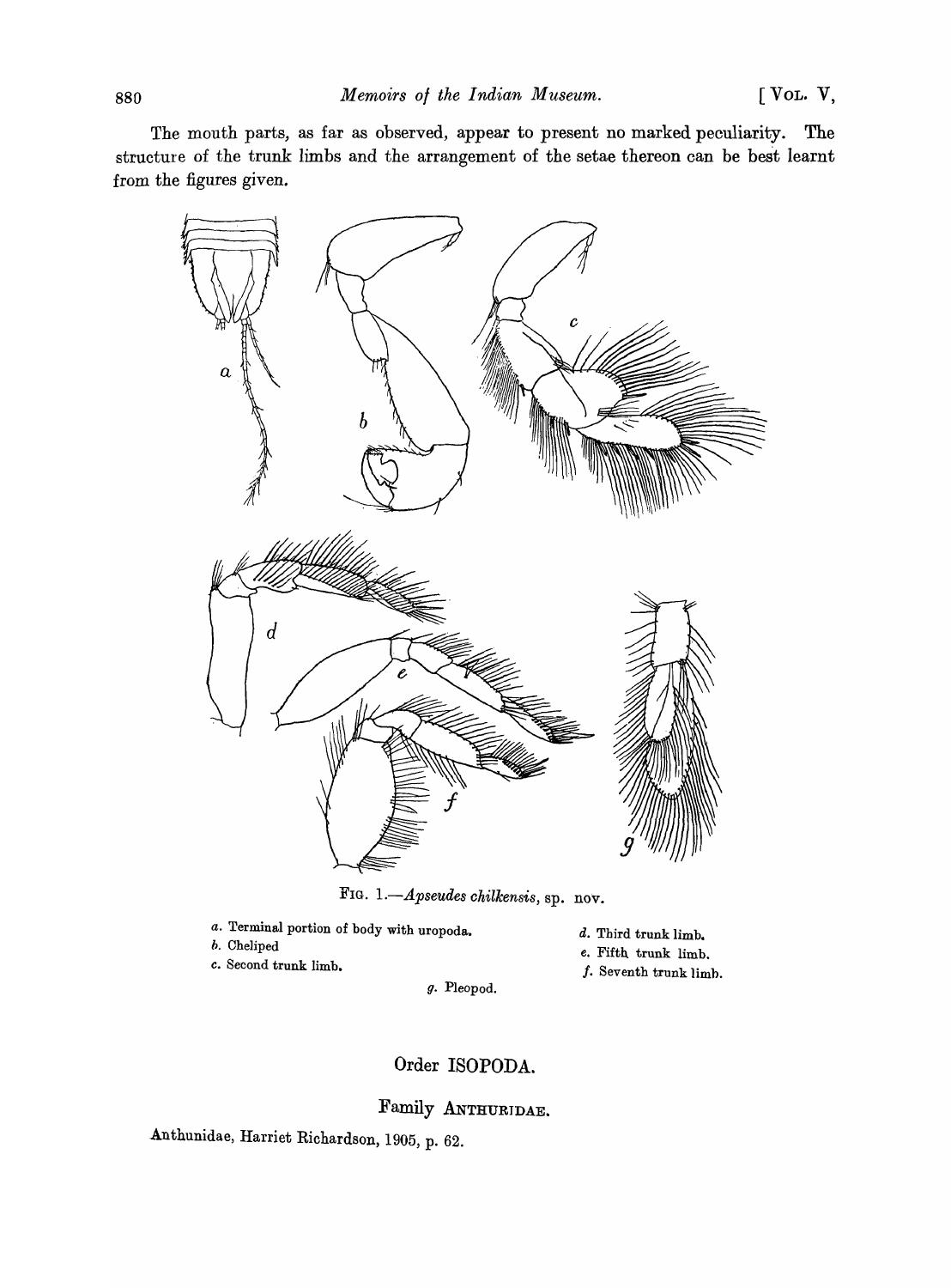The mouth parts, as far as observed, appear to present no marked peculiarity. The structure of the trunk limbs and the arrangement of the setae thereon can be best learnt from the figures given.



FIG. 1.-*Apseudes chilkensis*, sp. nov.

- *a.* Terminal portion of body with uropoda.
- h. Cheliped
- c. Second trunk limb.
- d. Third trunk limb.
- *e.* Fifth trunk limb.
- $f$ . Seventh trunk limb.

g. Pleopod.

## Order ISOPODA.

Family ANTHURIDAE.

Anthunidae, Harriet Richardson, 1905, p. 62.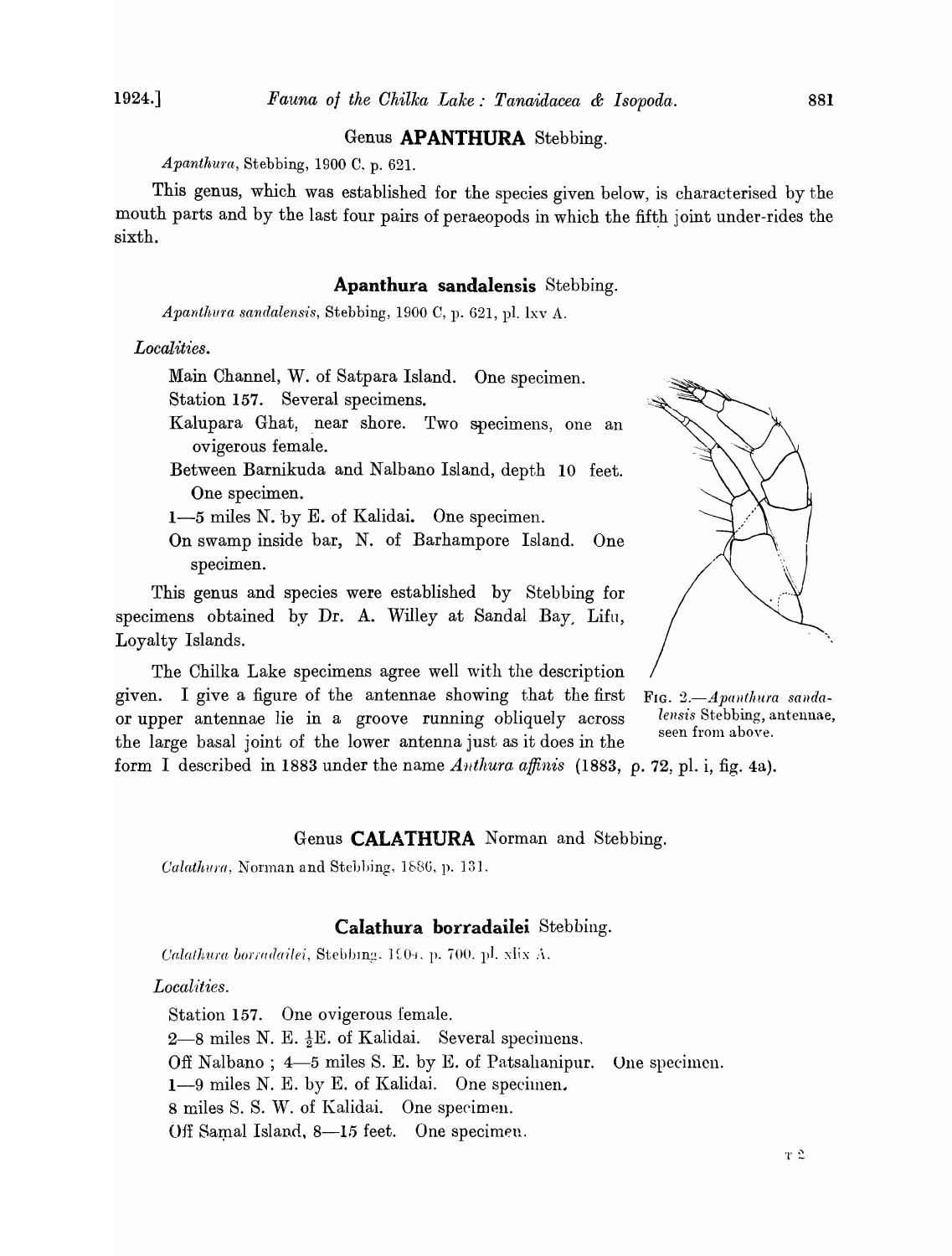## Genus **APANTHURA** Stebbing.

*Apanthura,* Stebbing, 1900 C, p. 62l.

This genus, which was established for the species given below, is characterised by the mouth parts and by the last four pairs of peraeopods in which the fifth joint under-rides the sixth.

## **Apanthura sandalensis** Stebbing.

*Apanthura sandalensis, Stebbing, 1900 C, p. 621, pl. lxv A.* 

*Localities.* 

Main Channel, W. of Satpara Island. One specimen. Station 157. Several specimens.

- Kalupara Ghat, near shore. Two specimens, one an ovigerous female.
- Between Barnikuda and Nalbano Island, depth 10 feet. One specimen.
- 1-5 miles N. by E. of Kalidai. One specimen.
- On swamp inside bar, N. of Barhampore Island. One specimen.

This genus and species were established by Stebbing for specimens obtained by Dr. A. Willey at Sandal Bay, Lifu, Loyalty Islands.

The Chilka Lake specimens agree well with the description given. I give a figure of the antennae showing that the first F<sub>IG</sub>. 2. *Apanthura sanda*-<br>
or unner antennae lie in a groove running obliquely across lensis Stebbing, antennae, or upper antennae lie in a groove running obliquely across *lensis* Stebbing, and the seen from above. the large basal joint of the lower antenna just as it does in the form I described in 1883 under the name *Authura affinis* (1883, *p.* 72, pI. i, fig. 4a).

#### Genus **CALATHURA** Norman and Stebbing.

*CaZathu}'a* , Norman and Stehl)ing, *1b8G,* p. 131.

#### **Calathura borradailei** Stebbing.

*Calathura borradailei, Stebbing, 1904. p. 700. pl. xlix A.* 

#### Localities.

Station 157. One ovigerous female. 2-8 miles N. E.  $\frac{1}{2}E$ . of Kalidai. Several specimens, Off Nalbano ; 4-5 miles S. E. by E. of Patsahanipur. One specimen. 1-9 miles N. E. by E. of Kalidai. One specimen. 8 miles S. S. W. of Kalidai. One specimen. Off Samal Island, 8-15 feet. One specimen.

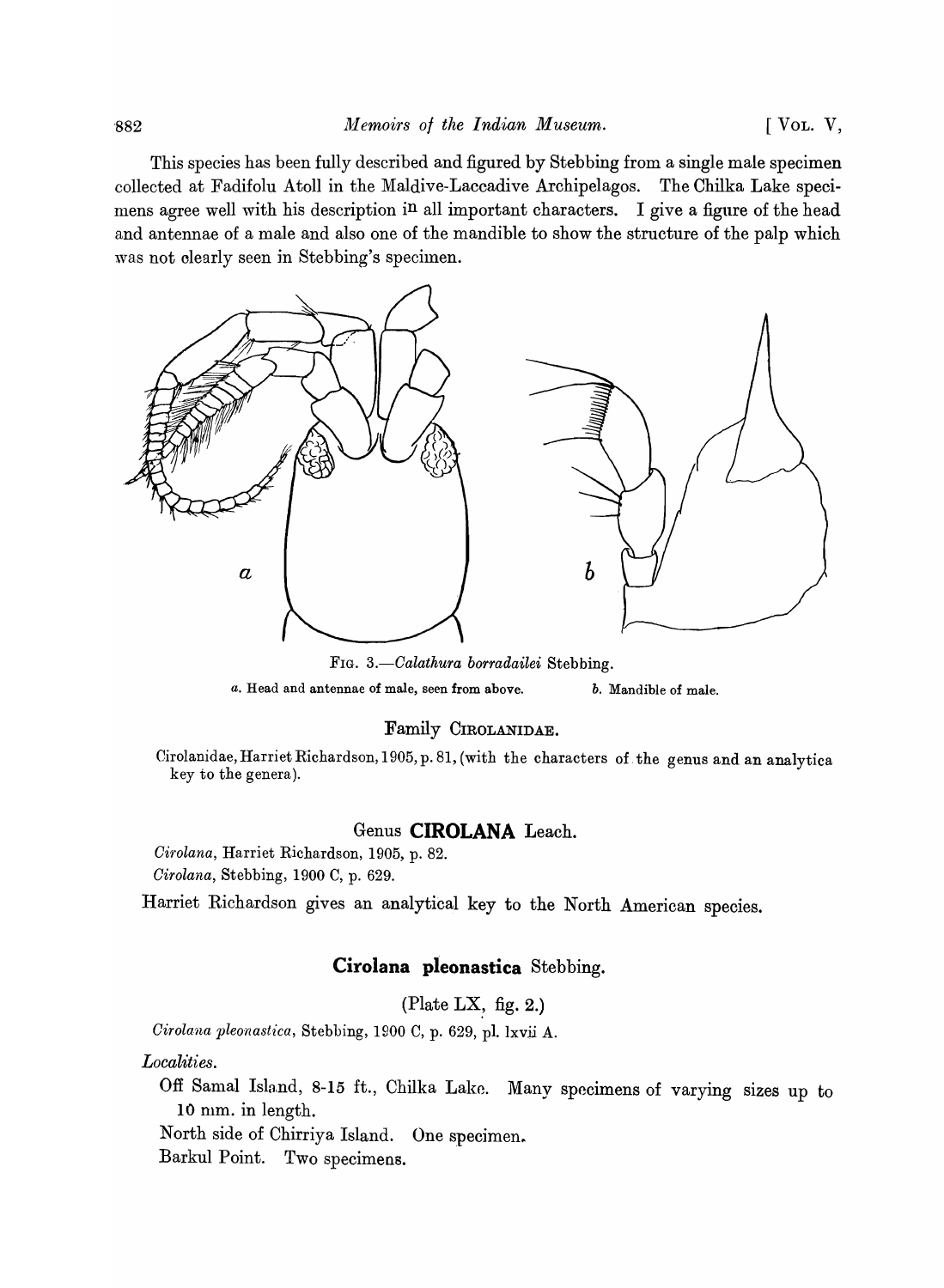This species has been fully described and figured by Stebbing from a single male specimen collected at Fadifolu Atoll in the Maldive-Laccadive Archipelagos. The Chilka Lake specimens agree well with his description in all important characters. I give a figure of the head and antennae of a male and also one of the mandible to show the structure of the palp which was not clearly seen in Stebbing's specimen.



FIG. *3.-0alathura borradailei* Stebbing. *a.* Head and antennae of male, seen from above. *b.* Mandible of male.

#### Family CIROLANIDAE.

Cirolanidae, Harriet Richardson, 1905, p. 81, (with the characters of. the genus and an analytica key to the genera).

## Genus **CIROLANA** Leach.

*Oirolana,* Harriet Richardson, 1905, p. 82. *Oirolana,* Stebbing, 1900 C, p. 629.

Harriet Richardson gives an analytical key to the North American species.

## **Cirolana pleonastica** Stebbing.

(Plate LX, fig. 2.)

*Oirolana pleonastica,* Stebbing, 1900 C, p. 629, pI. lxvii A.

*Localities.* 

Off Samal Island, 8-15 ft., Chilka Lake. Many specimens of varying sizes up to 10 mm. in length.

North side of Chirriya Island. One specimen.

Barkul Point. Two specimens.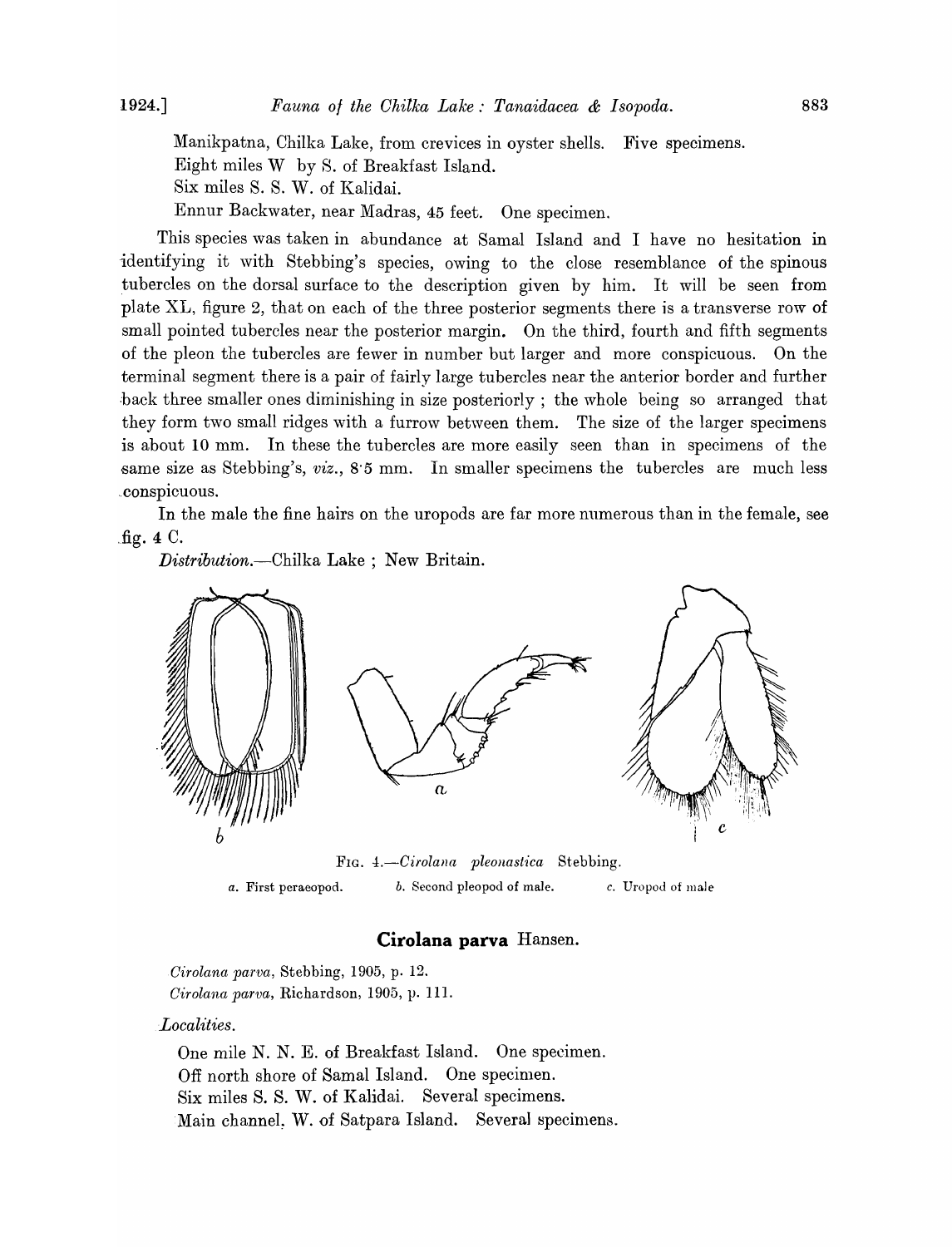Manikpatna, Chilka Lake, from crevices in oyster shells. Five specimens. Eight miles W by S. of Breakfast Island. Six miles S. S. W. of Kalidai. Ennur Backwater, near Madras, 45 feet. One specimen.

This species was taken in abundance at Samal Island and I have no hesitation in identifying it with Stebbing's species, owing to the close resemblance of the spinous tubercles on the dorsal surface to the description given by him. It will be seen from plate XL, figure 2, that on each of the three posterior segments there is a transverse row of small pointed tubercles near the posterior margin. On the third, fourth and fifth segments of the pleon the tubercles are fewer in number but larger and more conspicuous. On the terminal segment there is a pair of fairly large tubercles near the anterior border and further back three smaller ones diminishing in size posteriorly; the whole being so arranged that they form two small ridges with a furrow between them. The size of the larger specimens is about 10 mm. In these the tubercles are more easily seen than in specimens of the same size as Stebbing's, *viz.*, 8.5 mm. In smaller specimens the tubercles are much less .conspicuous.

In the male the fine hairs on the uropods are far more numerous than in the female, see .fig. 4 C.

*Distribution.-Chilka* Lake ; New Britain.



*a.* First peraeopod. *b.* Second pleopod of male. c. Uropod of male

#### **Cirolana parva** Hansen.

*Cirolana parva,* Stebbing, 1905, p. 12. *Cirolana parva, Richardson, 1905, p. 111.* 

*Localities.* 

One mile N. N. E. of Breakfast Island. One specimen. Off north shore of Samal Island. One specimen. Six miles S. S. W. of Kalidai. Several specimens. Main channel. W. of Satpara Island. Several specimens.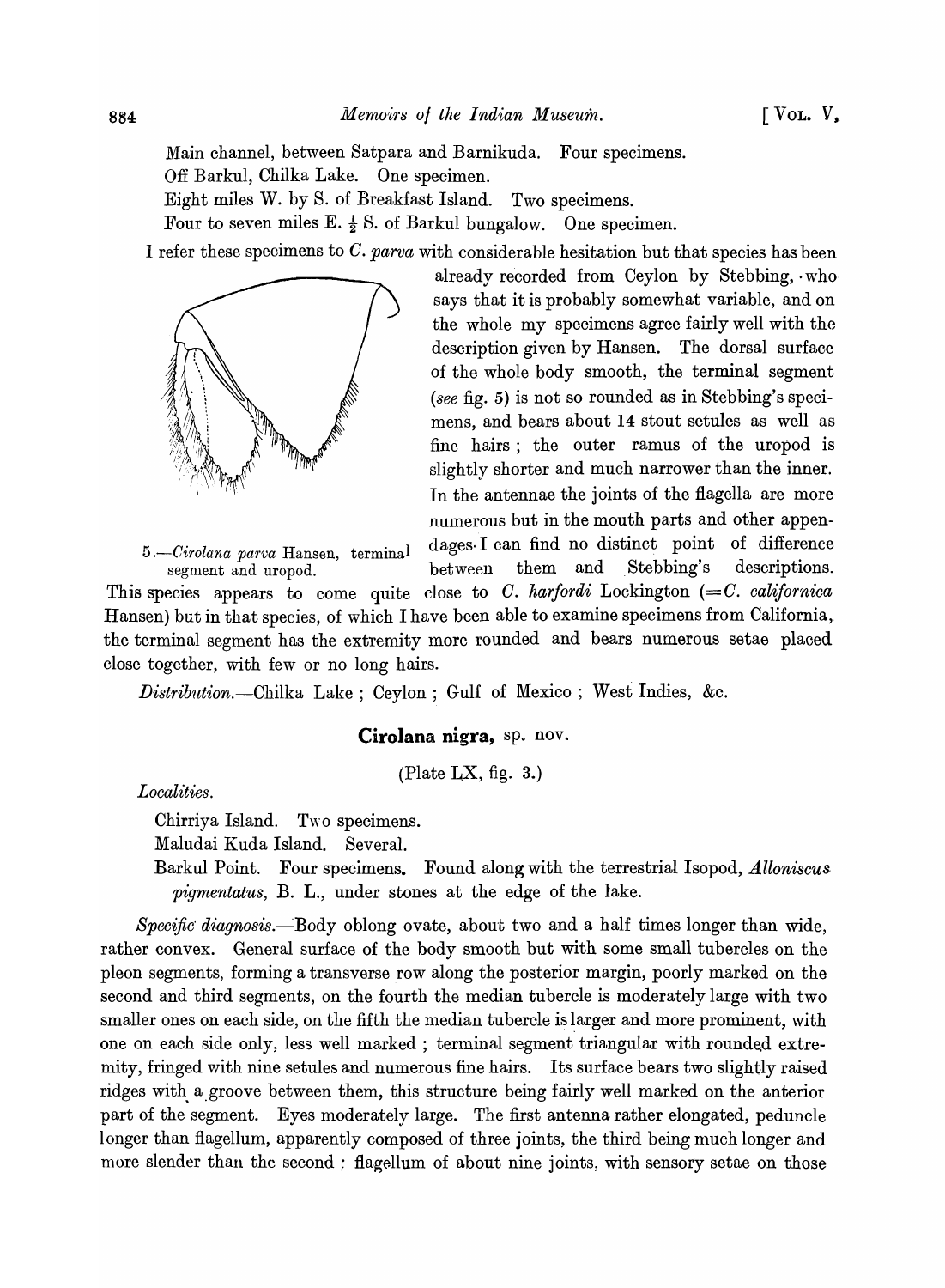Main channel, between Satpara and Barnikuda. Four specimens. Off Barkul, Chilka Lake. One specimen.

Eight miles W. by S. of Breakfast Island. Two specimens.

Four to seven miles E.  $\frac{1}{2}$  S. of Barkul bungalow. One specimen.

I refer these specimens to *O. parva* with considerable hesitation but that species has been



already recorded from Ceylon by Stebbing, ·who says that it is probably somewhat variable, and on the whole my specimens agree fairly well with the description given by Hansen. The dorsal surface of the whole body smooth, the terminal segment *(see* fig. 5) is not so rounded as in Stebbing's specimens, and bears about 14 stout setules as well as fine hairs; the outer ramus of the uropod is slightly shorter and much narrower than the inner. In the antennae the joints of the flagella are more numerous but in the mouth parts and other appen-*5.-Cirolana parva* Hansen, terminal dages. I can find no distinct point of difference segment and uropod. between them and Stebbing's descriptions.

This species appears to come quite close to *O. harfordi* Lockington *(=0. californica*  Hansen) but in that species, of which I have been able to examine specimens from California, the terminal segment has the extremity more rounded and bears numerous setae placed close together, with few or no long hairs.

*Distribution.-Chilka* Lake ; Ceylon ; Gulf of Mexico ; West Indies, &c.

## Cirolana nigra, sp. nov.

(Plate LX, fig.  $3$ .)

*Localities.* 

Chirriya Island. Two specimens.

Maludai Kuda Island. Several.

Barkul Point. Four specimens. Found along with the terrestrial Isopod, *Alloniscus. pigmentatus,* B. L., under stones at the edge of the lake.

*Specific diagnosis.*--Body oblong ovate, about two and a half times longer than wide, rather convex. General surface of the body smooth but with some small tubercles on the pleon segments, forming a transverse row along the posterior margin, poorly marked on the second and third segments, on the fourth the median tubercle is moderately large with two smaller ones on each side, on the fifth the median tubercle is larger and more prominent, with one on each side only, less well marked; terminal segment triangular with rounded extremity, fringed with nine setules and numerous fine hairs. Its surface bears two slightly raised ridges with a groove between them, this structure being fairly well marked on the anterior part of the segment. Eyes moderately large. The first antenna rather elongated, peduncle longer than flagellum, apparently composed of three joints, the third being much longer and more slender than the second: flagellum of about nine joints, with sensory setae on those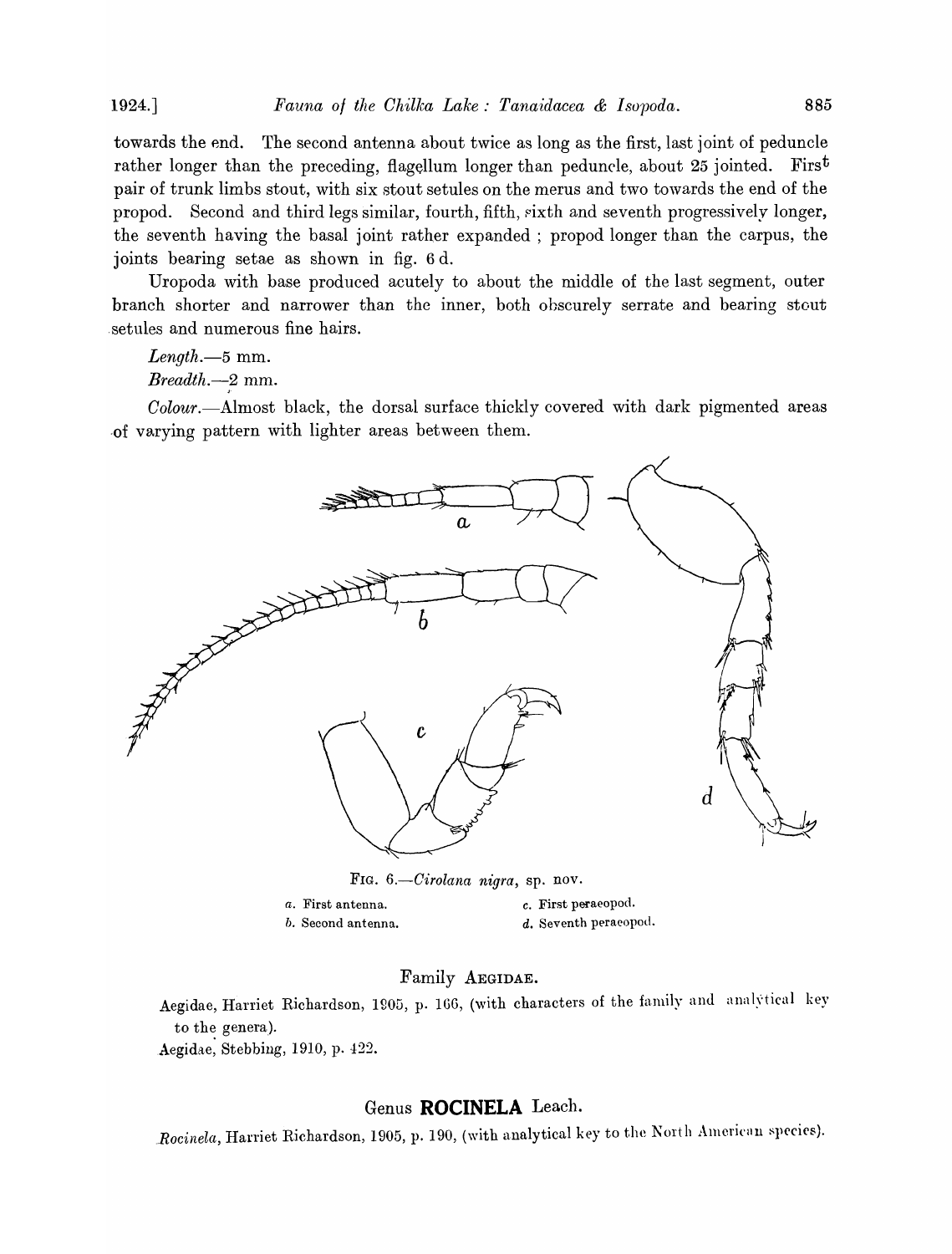1924.] *Fauna of the Ohillca Lake,' Tanaidacea* & *Isvpoda.* 885

towards the end. The second antenna about twice as long as the first, last joint of peduncle rather longer than the preceding, flagellum longer than peduncle, about 25 jointed. First pair of trunk limbs stout, with six stout setules on the merus and two towards the end of the propod. Second and third legs similar, fourth, fifth, sixth and seventh progressively longer, the seventh having the basal joint rather expanded; propod longer than the carpus, the joints bearing setae as shown in fig. 6 d.

Uropoda with base produced acutely to about the middle of the last segment, outer branch shorter and narrower than the inner, both obscurely serrate and bearing stout setules and numerous fine hairs.

*Length.-5* mm.

*Breadth.*—2 mm.

Colour.—Almost black, the dorsal surface thickly covered with dark pigmented areas ,of varying pattern with lighter areas between them.



| a. First antenna.  | c. First peraeopod.   |
|--------------------|-----------------------|
| b. Second antenna. | d. Seventh peraeopod. |

#### Family AEGIDAE.

Aegidae, Harriet Richardson, 1905, p. 166, (with characters of the family and analytical key to the genera).

Aegidae, Stebbing, 1910, p. 422.

## Genus **ROCINELA** Leach.

*Rocinela, Harriet Richardson, 1905, p. 190, (with analytical key to the North American species).*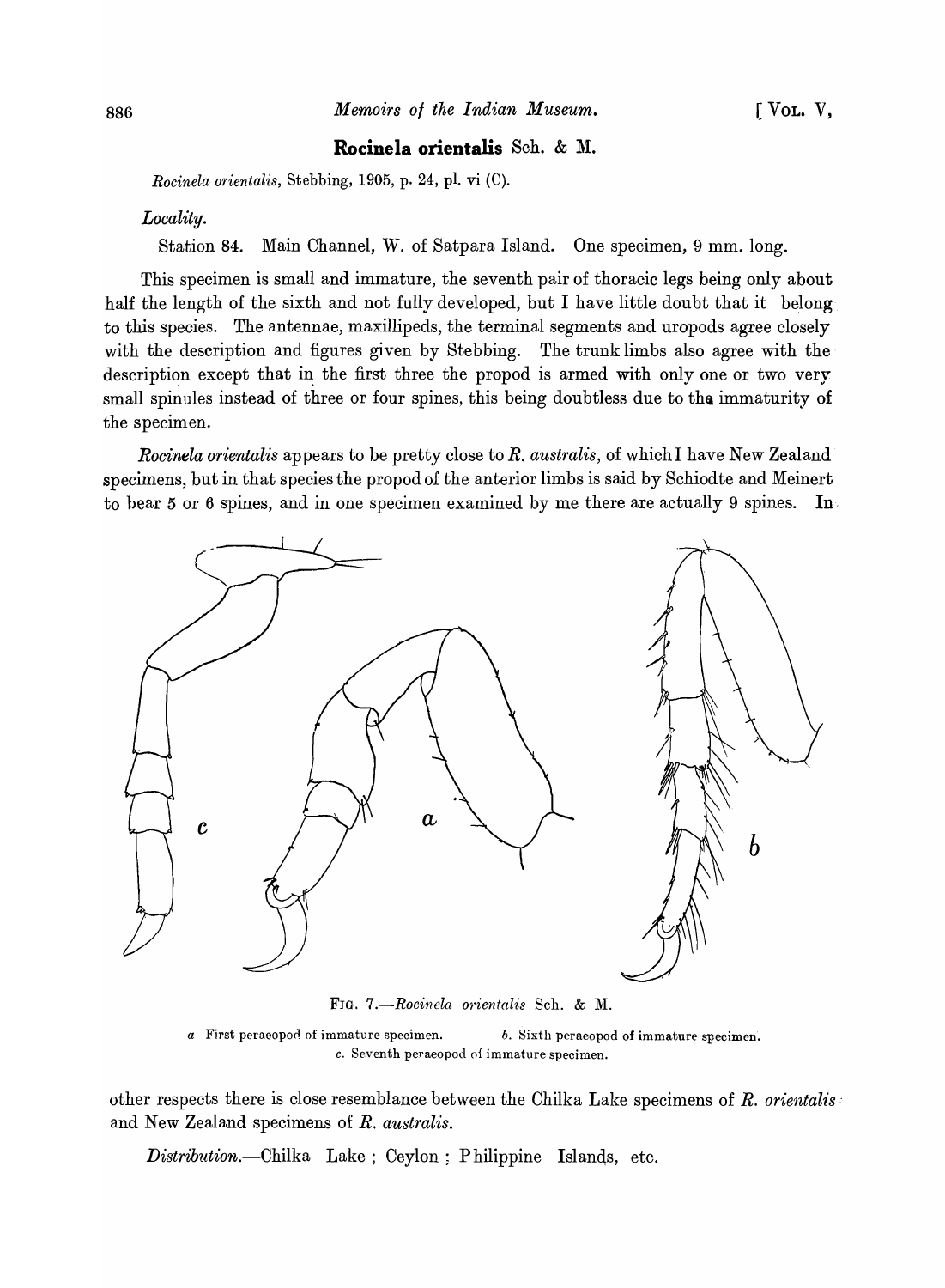## **Rocinela orientalis** Sch. & M.

*Rocinela orientalis, Stebbing, 1905, p. 24, pl. vi (C).* 

#### *Locality.*

Station 84. Main Channel, \V. of Satpara Island. One specimen, 9 mm. long.

This specimen is small and immature, the seventh pair of thoracic legs being only about half the length of the sixth and not fully developed, but I have little doubt that it belong to this species. The antennae, maxillipeds, the terminal segments and uropods agree closely with the description and figures given by Stebbing. The trunk limbs also agree with the description except that in the first three the propod is armed with only one or two very small spinules instead of three or four spines, this being doubtless due to the immaturity of the specimen.

*Rocinela orientalis* appears to be pretty close to *R. australis,* of which I have New Zealand specimens, but in that species the propod of the anterior limbs is said by Schiodte and Meinert to bear 5 or 6 spines, and in one specimen examined by me there are actually 9 spines. In



FIG. *7.-Rocinela orientalis* Sell. & M.

*a* First peraeopod of immature specimen. *b.* Sixth peraeopod of immature specimen. c. Seventh peraeopod of immature specimen.

other respects there is close resemblance between the Chilka Lake specimens of *R. orientalis'*  and New Zealand specimens of *R. australis.* 

Distribution.—Chilka Lake; Ceylon; Philippine Islands, etc.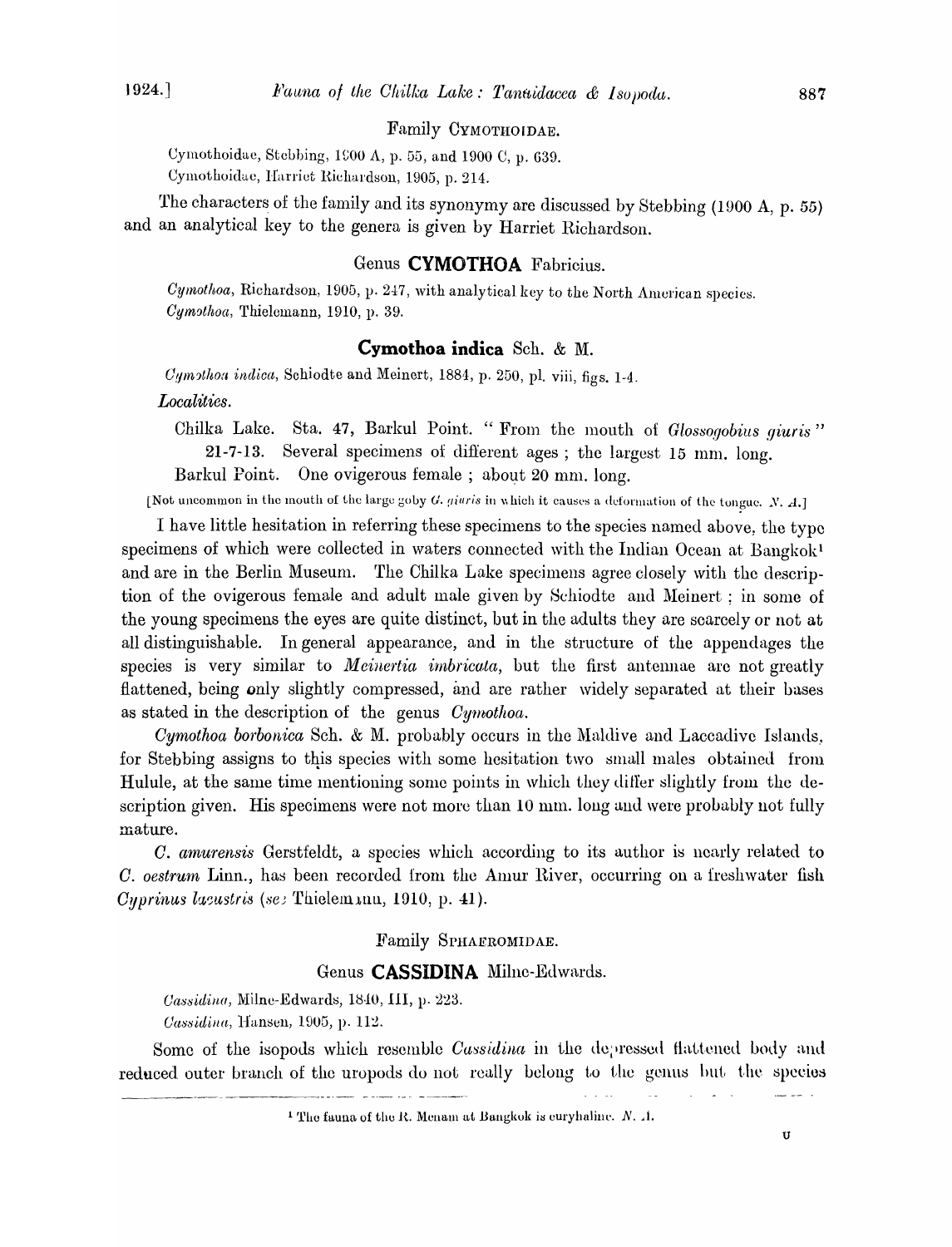## Family CYMOTHOIDAE.

Cymothoidae, Stebbing, 1900 A, p. 55, and 1900 C, p. 639. Cymothoidae, Harriet Richardson, 1905, p. 214.

The characters of the family and its synonymy are discussed by Stebbing (1900 A, p. 55) and an analytical key to the genera is given by Harriet Richardson.

## Genus **CYMOTHOA** Fabricius.

*Cymothoa*, Richardson, 1905, p. 247, with analytical key to the North American species. *Cymothoa, Thielemann, 1910, p. 39.* 

## **Cymothoa indica** Sch. & M.

Cumsthoa indica, Schiodte and Meinert, 1884, p. 250, pl. viii, figs. 1-4. *Localities.* 

Chilka Lake. Sta. 47, Barkul Point. " From the mouth of *Glossogobius giuris*" 21-7-13. Several specimens of different ages; the largest 15 mm. long. Barkul Point. One ovigerous female ; about 20 mm. long.

[Not uncommon in the mouth of the large goby G. *giuris* in which it causes a deformation of the tongue. N. A.]

I have little hesitation in referring these specimens to the species named above, the type specimens of which were collected in waters connected with the Indian Ocean at Bangkok<sup>1</sup> and are in the Berlin Museum. The Chilka Lake specimens agree closely with the description of the ovigerous female and adult male given by Schiodte and Meinert ; in some of the young specimens the eyes are quite distinct, but in the adults they are scarcely or not at all distinguishable. In general appearance, and in the structure of the appendages the species is very similar to *Meinertia imbricata*, but the first antennae are not greatly flattened, being only slightly compressed, and are rather widely separated at their bases as stated in the description of the genus *Cymothoa*.

*Cymothoa borbonica* Sch. & M. probably occurs in the Maldive and Laccadive Islands. for Stebbing assigns to this species with some hesitation two small males obtained from Hulule, at the same time mentioning some points in which they differ slightly from the description given. His specimens were not more than 10 mm. long and were probably not fully mature.

C. *amurensis* Gerstfeldt, a species which according to its author is nearly related to C. *oestrum* Linn., has been recorded from the Amur River, occurring on a freshwater fish *Cyprinus lacustris* (see Thielem unu, 1910, p. 41).

#### Family SrHAERoMIDAE.

#### Genus **CASSIDINA** Milne-Edwards.

*Cassidina, Milne-Edwards, 1840, III, p. 223.* 

*Cassidina*, *Hansen*, 1905, p. 112.

Some of the isopods which resemble *Cassidina* in the degressed flattened body and reduced outer branch of the uropods do not really belong to the genus but the species

 $\frac{1}{2}$ 

 $\sim$   $\sim$ 

 $\sqrt{2}$  ,  $\sqrt{2}$ 

<sup>&</sup>lt;sup>1</sup> The fauna of the R. Menam at Bangkok is euryhaline. N. . 1.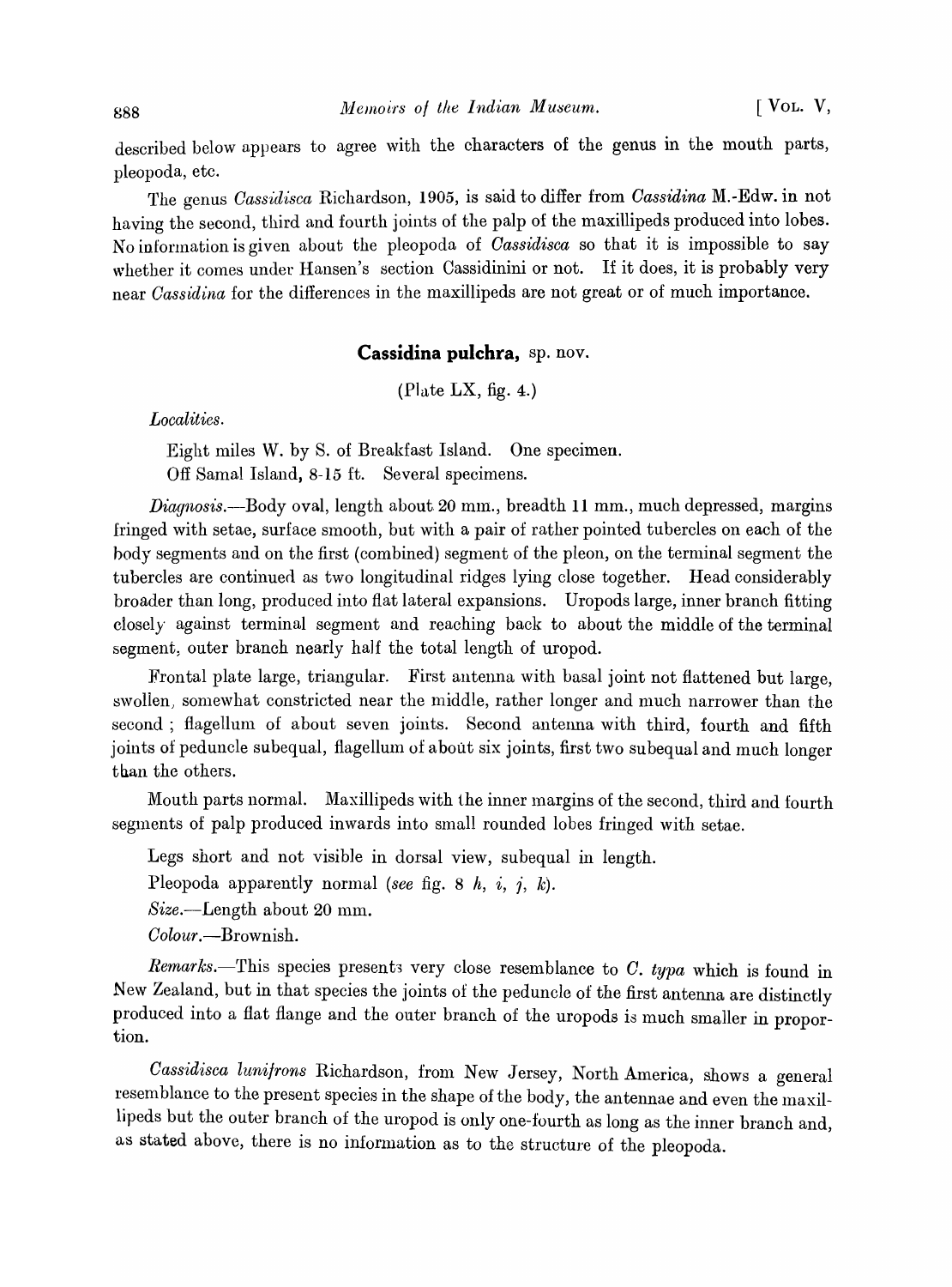described below appears to agree with the characters of the genus in the mouth parts, pleopoda, etc.

The genus *Oassidisca* Richardson, 1905, is said to differ from *Oassidina* M.-Edw. in not having the second, third and fourth joints of the palp of the maxillipeds produced into lobes. No infonnation is given about the pleopoda of *Oassidisca* so that it is impossible to say whether it comes under Hansen's section Cassidinini or not. If it does, it is probably very near *Oassidina* for the differences in the maxillipeds are not great or of much importance.

#### **Cassidina pulchra,** sp. nov.

(Plate LX, fig. 4.)

*Localities.* 

Eight miles W. by S. of Breakfast Island. One specimen. Off Samal Island, 8-15 ft. Several specimens.

*Diagnosis.*—Body oval, length about 20 mm., breadth 11 mm., much depressed, margins fringed with setae, surface smooth, but with a pair of rather pointed tubercles on each of the hody segments and on the first (combined) segment of the pleon, on the terminal segment the tubercles are continued as two longitudinal ridges lying close together. Head considerably broader than long, produced into flat lateral expansions. Uropods large, inner branch fitting closely against terminal segment and reaching back to about the middle of the terminal segment, outer branch nearly half the total length of uropod.

Frontal plate large, triangular. First antenna with basal joint not flattened but large, swollen, somewhat constricted near the middle, rather longer and much narrower than the second; flagellum of about seven joints. Second antenna with third, fourth and fifth joints of peduncle subequal, flagellum of about six joints, first two subequal and much longer than the others.

Mouth parts normal. Maxillipeds with the inner margins of the second, third and fourth segments of palp produced inwards into small rounded lobes fringed with setae.

Legs short and not visible in dorsal view, subequal in length.

Pleopoda apparently normal *(see* fig. 8 h, i, *i, k).* 

 $Size.$ -Length about 20 mm.

*Oolour.-Brownish.* 

*Remarks.*-This species presents very close resemblance to C. typa which is found in New Zealand, but in that species the joints of the peduncle of the first antenna are distinctly produced into a flat flange and the outer branch of the uropods is much smaller in proportion.

*Cassidisca lunifrons* Richardson, from New Jersey, North America, shows a general resemblance to the present species in the shape of the body, the antennae and even the maxillipeds but the outer branch of the uropod is only one-fourth as long as the inner branch and, as stated above, there is no information as to the structure of the pleopoda.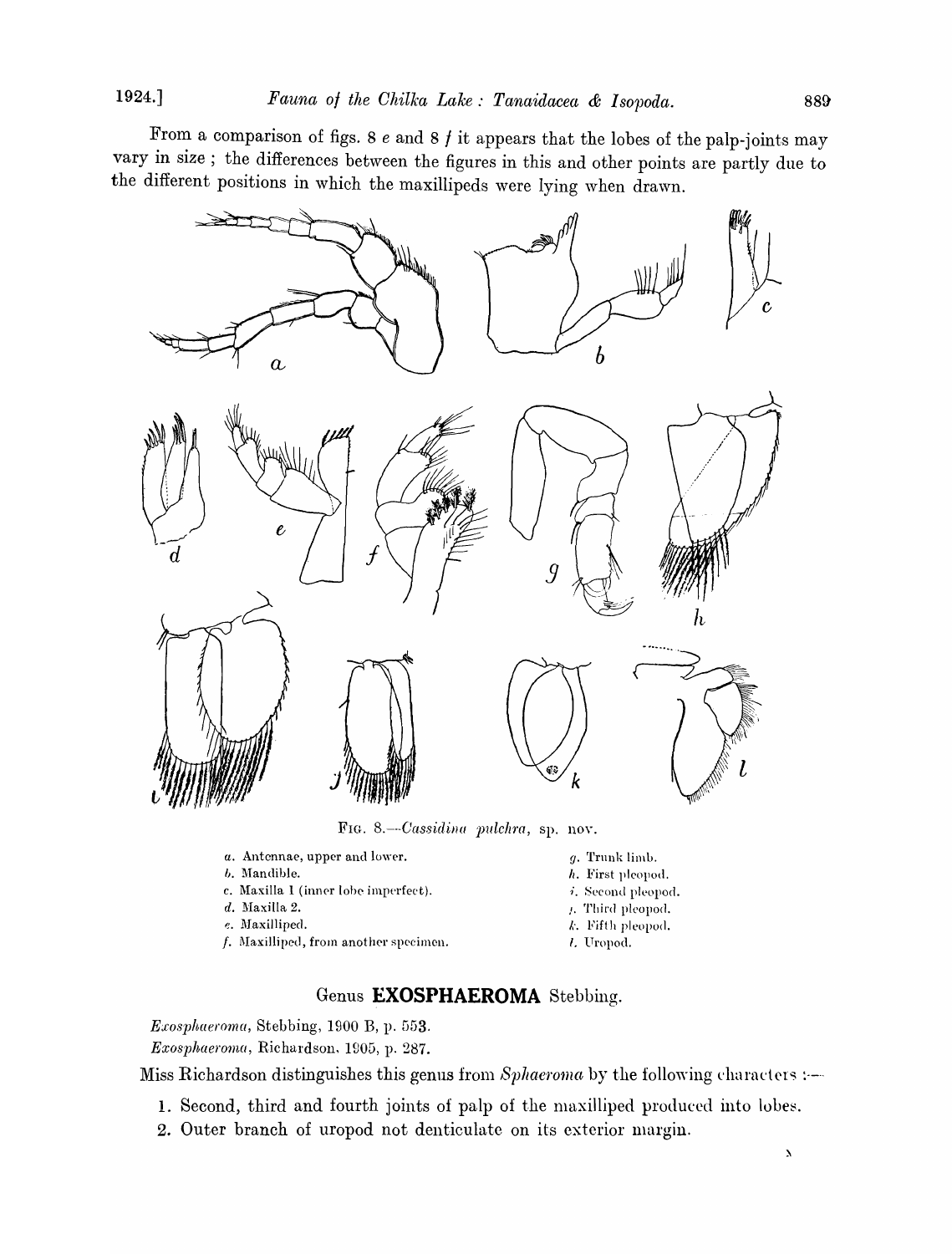From a comparison of figs. 8 *e* and 8 / it appears that the lobes of the palp-joints may vary in size; the differences between the figures in this and other points are partly due to the different positions in which the maxillipeds were lying when drawn.



FIG. 8.--Cassidina pulchra, sp. nov.

- *a.* Antennae, upper and lower.
- b. Mandible.
- c. Maxilla I (inner lobe imperfect).
- d. Maxilla 2.
- *e.* Maxilliped.
- $f$ . Maxilliped, from another specimen.
- *y.* Trunk limo.
- *h.* First pleopod.
- $i$ . Second pleopod.
- $\mu$ . Third pleopod.
- $k$ . Fifth pleopod.
- 1. Uropod.

## Genus **EXOSPHAEROMA** Stebbing.

*Exosphaeroma,* Stebbing, 1900 B, p. G53. *Exosphaeroma, Richardson, 1905, p. 287.* 

Miss Richardson distinguishes this genus from *Sphaeroma* by the following characters :---

- 1. Second, third and fourth joints of palp of the maxilliped produced into lobes.
- 2. Outer branch of uropod not denticulate on its exterior margin.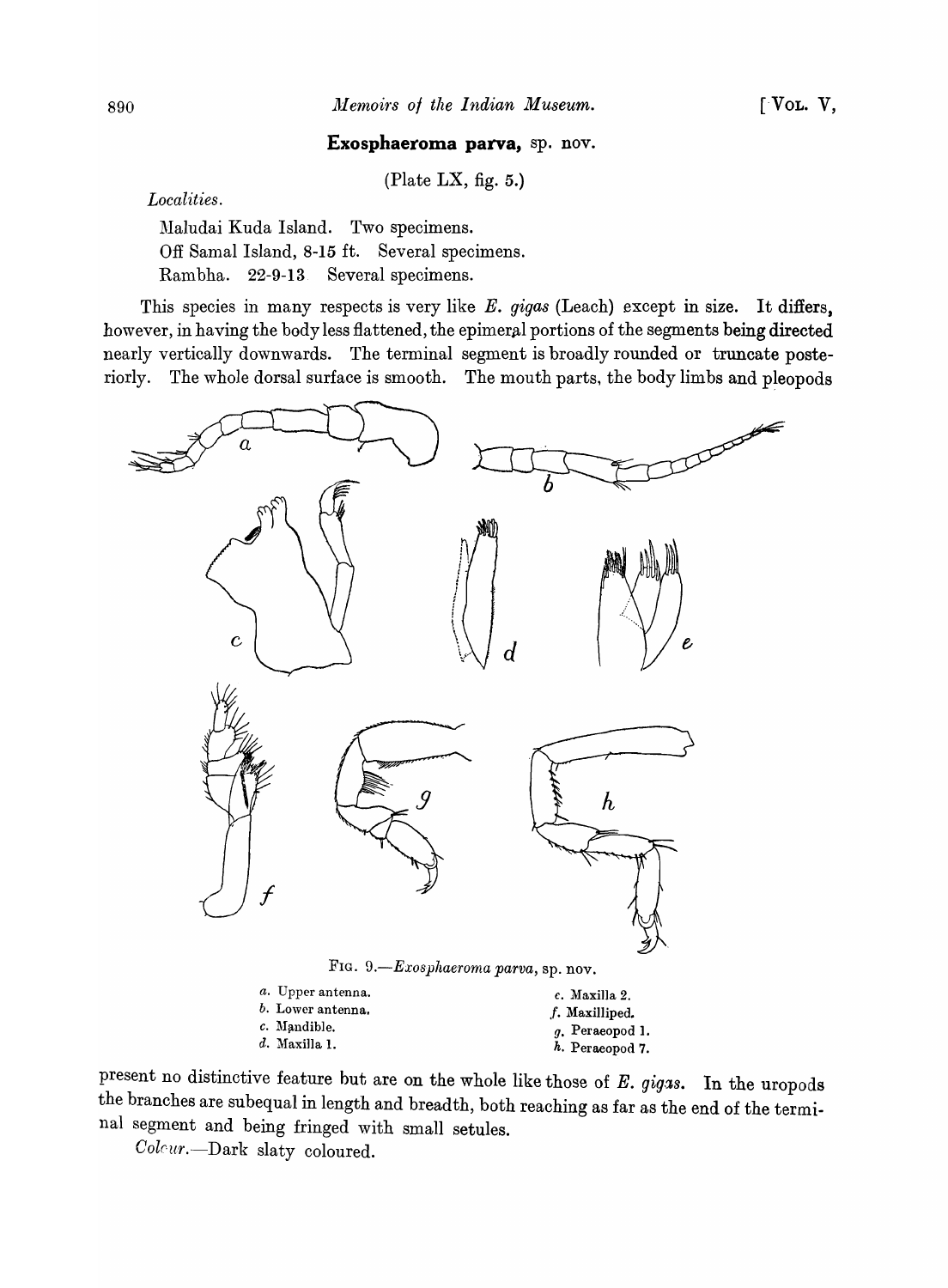#### **Exosphaeroma parva,** sp. nov.

(Plate LX, fig.  $5$ .)

*Local ities .* 

Maludai Kuda Island. Two specimens. Off Samal Island, 8-15 ft. Several specimens. Rambha. 22-9-13 Several specimens.

This species in many respects is very like *E. gigas* (Leach) except in size. It differs, however, in having the body less flattened, the epimeral portions of the segments being directed nearly vertically downwards. The terminal segment is broadly rounded or truncate posteriorly. The whole dorsal surface is smooth. The mouth parts, the body limbs and pleopods



FIG. *9.-Exosphaeroma parva,* sp. nov.

| c. Maxilla 2.     |  |  |  |  |
|-------------------|--|--|--|--|
| f. Maxilliped.    |  |  |  |  |
| $q.$ Peraeopod 1. |  |  |  |  |
| h. Peraeopod 7.   |  |  |  |  |
|                   |  |  |  |  |

present no distinctive feature but are on the whole like those of E. gigas. In the uropods the branches are subequal in length and breadth, both reaching as far as the end of the terminal segment and being fringed with small setules.

*Colrur.-Dark* slaty coloured.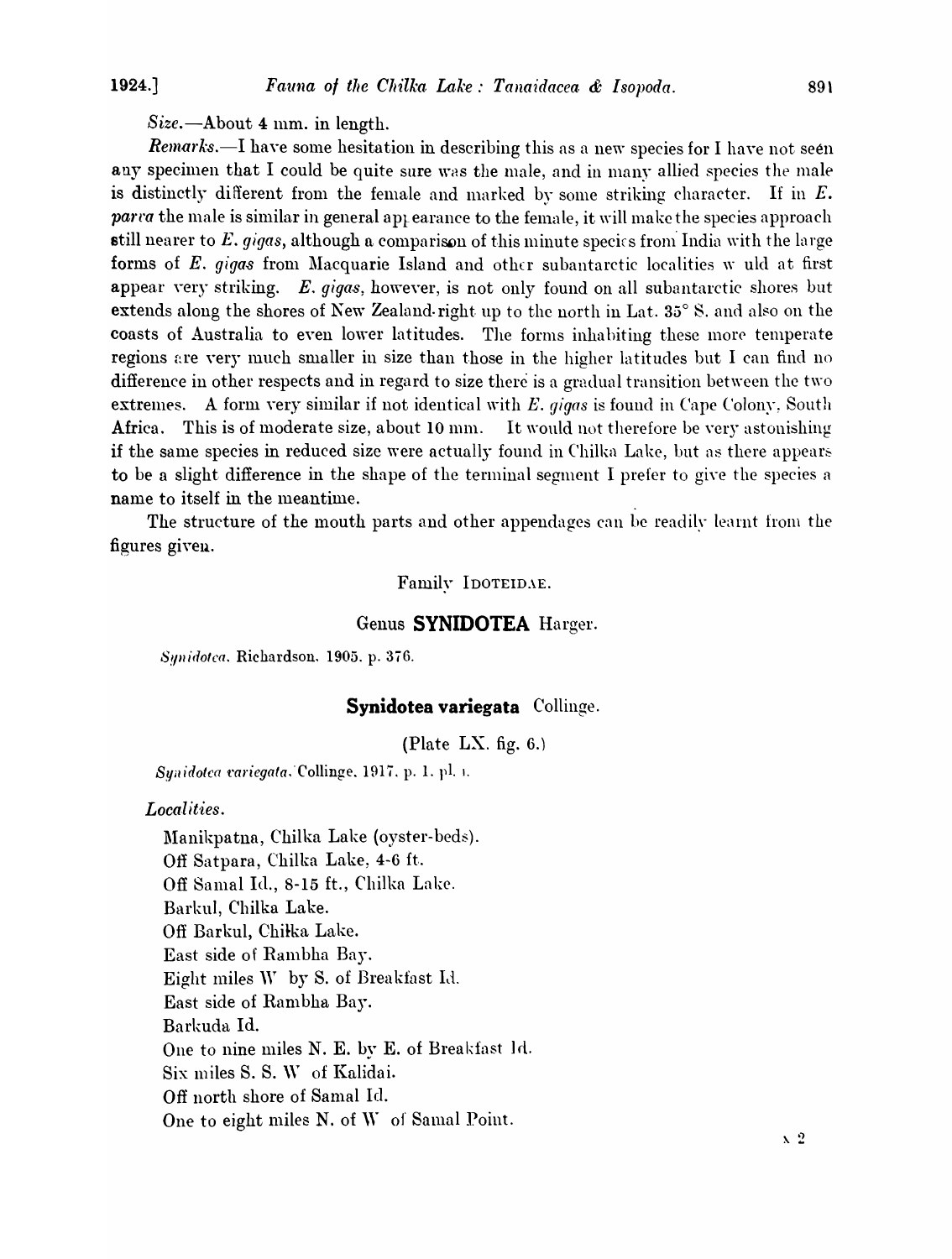$Size.$  -About 4 mm. in length.

Remarks.-I have some hesitation in describing this as a new species for I have not seen any specimen that I could be quite sure was the male, and in many allied species the male is distinctly different from the female and marked by some striking character. If in  $E$ . *parta* the male is similar in general appearance to the female, it will make the species approach still nearer to E. gigas, although a comparison of this minute species from India with the large forms of E. gigas from Macquarie Island and other subantarctic localities w uld at first appear very striking.  $E.$  gigas, however, is not only found on all subantarctic shores but extends along the shores of New Zealand-right up to the north in Lat. 35° S. and also on the coasts of Australia to even lower latitudes. The forms inhabiting these more temperate regions are very much smaller in size than those in the higher latitudes but I can find no difference in other respects and in regard to size there is a gradual transition between the two extremes. A form very similar if not identical with E. *gigas* is found in Cape Colony. South Africa. This is of moderate size, about 10 mm. It would not therefore be very astonishing if the same species in reduced size were actually found in Chilka Lake, but as there appears to be a slight difference in the shape of the terminal segment I prefer to give the species a name to itself in the meantime.

The structure of the mouth parts and other appendages can be readily learnt from the figures given.

Family IDOTEIDAE.

## Genus **SYNIDOTEA** Harger.

*SYl1idotca.* Richardson. 1905. p. 376.

## **Synidotea variegata** Collinge.

(Plate LX. fig.  $6$ .)

Synidotca variegata. Collinge. 1917. p. 1. pl. i.

*Local it'ies.* 

Manikpatna, Chilka Lake (oyster-beds). Off Satpara, Chilka Lake, 4-6 ft.. Off Samal Id., 8-15 ft., Chilka Lake. Barkul, Chilka Lake. Off Barkul, Chilka Lake. East side of Rambha Bay. Eight miles  $W$  by S. of Breakfast Id. East side of Rambha Bay. Barkuda Id. One to nine miles N. E. by E. of Breakfast 1d. Six miles S. S. W of Kalidai. Off north shore of Samal Id. One to eight miles N. of W of Samal Point.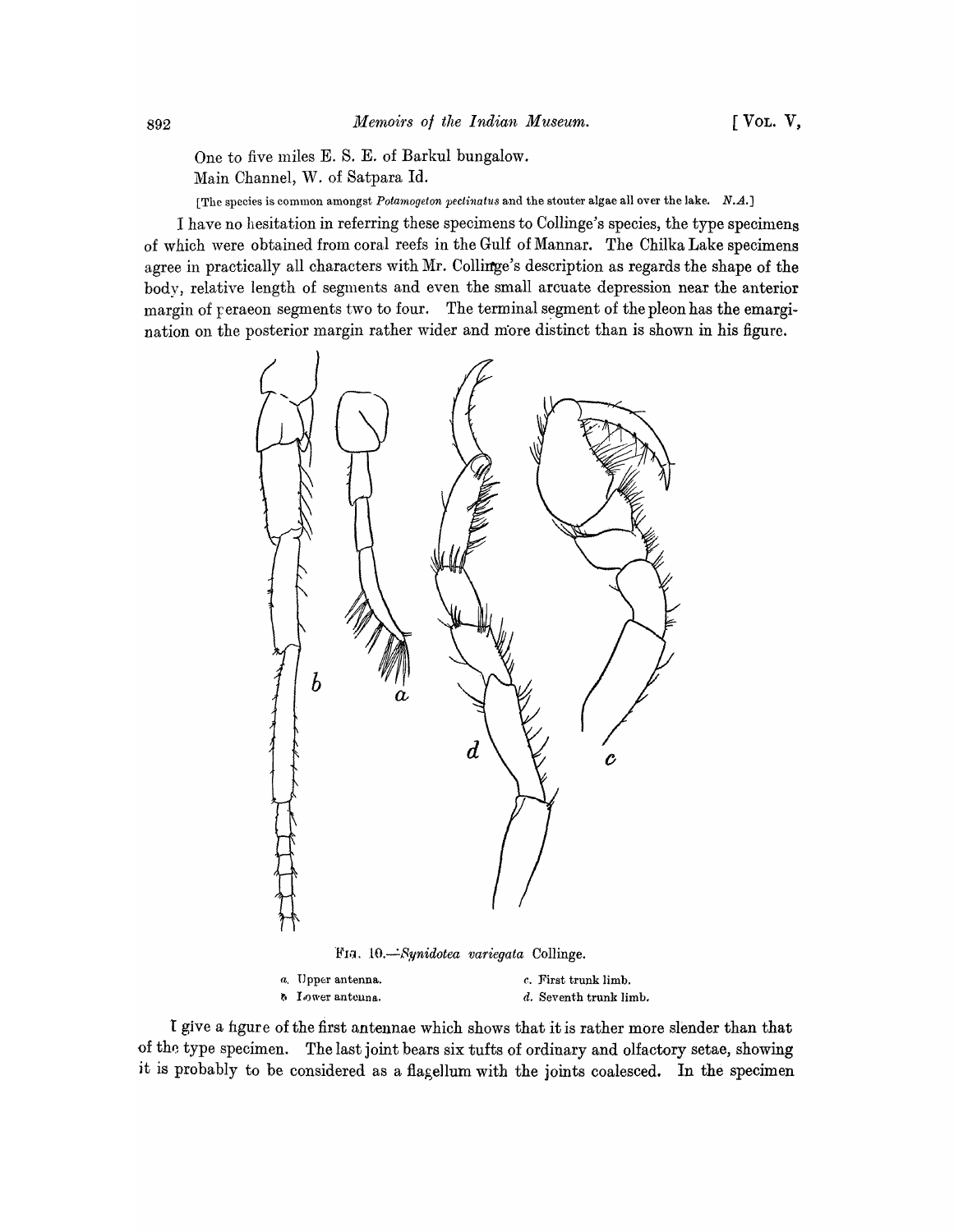One to five miles E. S. E. of Barkul bungalow.

Main Channel, W. of Satpara ld.

[The species is common amongst *Potamogeton pectinatus* and the stouter algae all over the lake. N.A.]

I have no hesitation in referring these specimens to Collinge's species, the type specimens of which were obtained from coral reefs in the Gulf of Mannar. The Chilka Lake specimens agree in practically all characters with Mr. Collinge's description as regards the shape of the body, relative length of segments and even the small arcuate depression near the anterior margin of peraeon segments two to four. The terminal segment of the pleon has the emargination on the posterior margin rather wider and more distinct than is shown in his figure.



**b.** Iower antenna.  $d.$  Seventh trunk limb.

I give a hgure of the first antennae which shows that it is rather more slender than that of the type specimen. The last joint bears six tufts of ordinary and olfactory setae, showing it is probably to be considered as a flagellum with the joints coalesced. In the specimen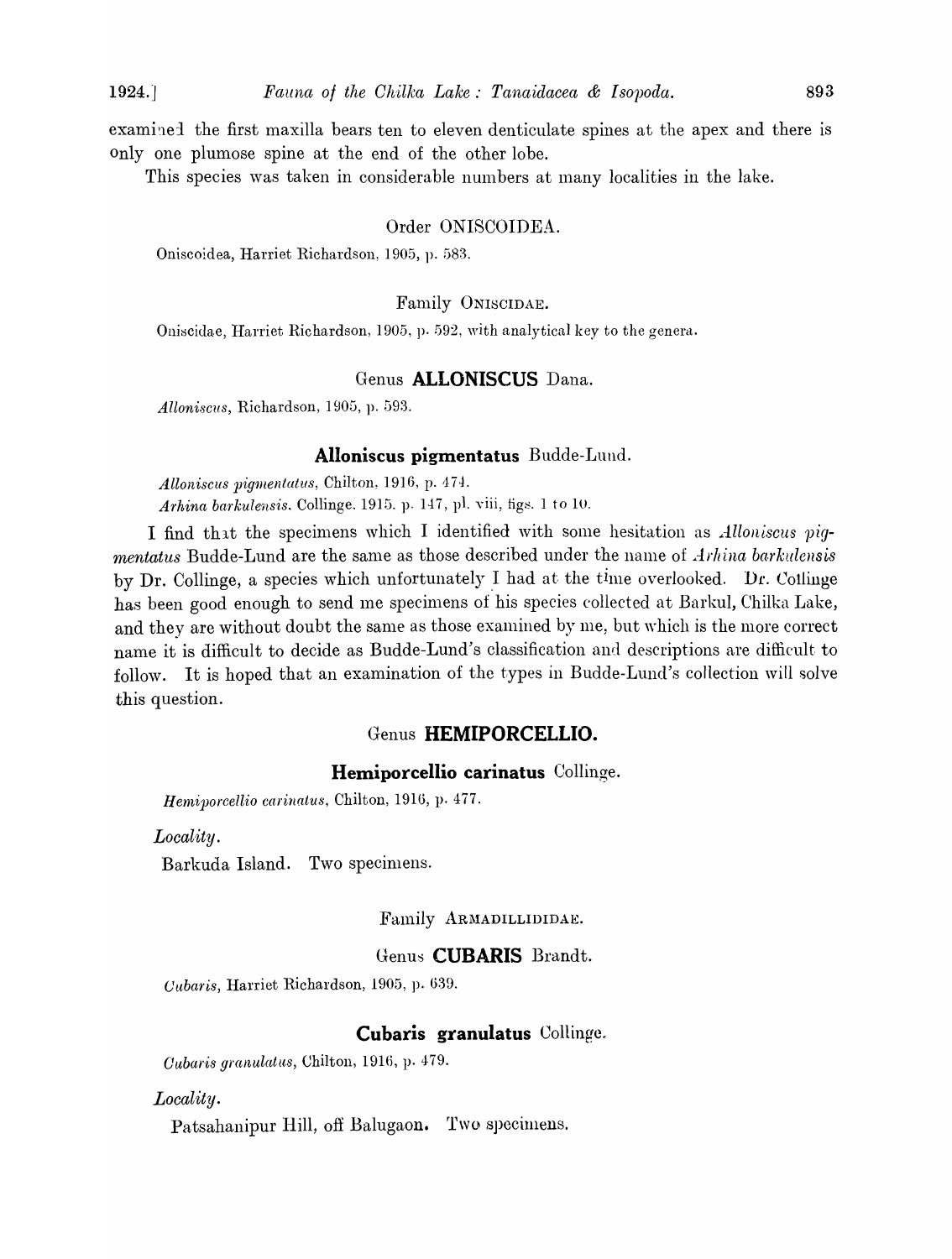examined the first maxilla bears ten to eleven denticulate spines at the apex and there is only one plumose spine at the end of the other lobe.

This species was taken in considerable numbers at many localities in the lake.

#### Order ON1SC01DEA.

Oniscoidea, Harriet Richardson, 1905, p. 583.

#### Family ONISCIDAE.

Oniscidae, Harriet Richardson, 1905, p. 592, with analytical key to the genera.

#### Genus **ALLONISCUS** Dana.

Alloniscus, Richardson, 1905, p. 593.

#### **Alloniscus pigmentatus** Budde-Lund.

*Alloniscus pigmentatus, Chilton, 1916, p. 474. Arhina barkulensis.* Collinge, 1915, p. 147, pl. viii, figs. 1 to 10.

I find that the specimens which I identified with some hesitation as *Alloniscus pigmentatus* Budde-Lund are the same as those described under the name of *Arhina barkulensis* by Dr. Collinge, a species which unfortunately I had at the time overlooked. Dr. Collinge has been good enough to send me specimens of his species collected at Barkul, Chilka Lake, and they are without doubt the same as those examined by me, but which is the more correct name it is difficult to decide as Budde-Lund's classification and descriptions are difficult to follow. It is hoped that an examination of the types in Budde-Lund's collection will solve this question.

## Genus **HEMIPORCELLIO.**

#### **Hemiporcellio carinatus** Collinge.

*Herniporcellio carinatus,* Chilton, 1916, p. *4i7.* 

*Locality.* 

Barkuda Island. Two specimens.

Family ARMADILLIDIDAE.

## Genu~ **CUBARIS** Brandt.

*Cubaris*, Harriet Richardson, 1905, p. 639.

## **Cubaris granulatus** Collinge.

*Oubar·is gi'anulatus,* Chilton, 191G, p. 479.

#### *Locality.*

Patsahanipur Hill, off Balugaon. Two specimens.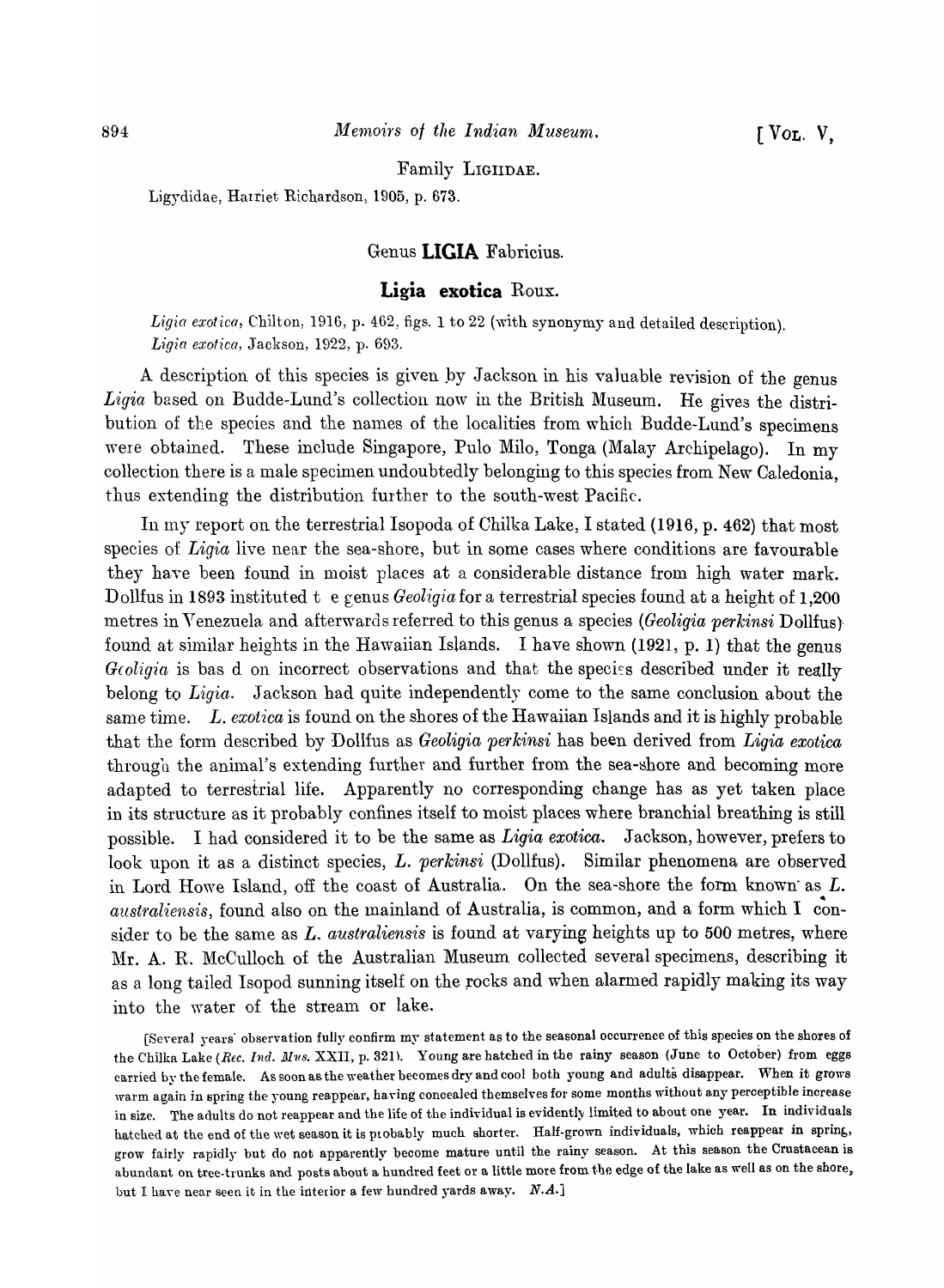Family LIGIIDAE.

Ligydidae, Harriet Richardson, 1905, p. 673.

## Genus **LIGIA** Fabricius.

#### **Ligia exotica** Roux.

Ligia exotica, Chilton, 1916, p. 462, figs. 1 to 22 (with synonymy and detailed description). L~'gia *exotica,* Jackson, 1922, p. 693.

A description of this species is given by Jackson in his valuable revision of the genus *Ligia* based on Budde-Lund's collection now in the British Museum. He gives the distribution of the species and the names of the localities from which Budde-Lund's specimens were obtained. These include Singapore, Pulo Milo, Tonga (Malay Archipelago). In my collection there is a male specimen undoubtedly belonging to this species from New Caledonia, thus extending the distribution further to the south-west Pacific.

In my report on the terrestrial Isopoda of Chilka Lake, I stated (1916, p. 462) that most species of *Ligia* live near the sea-shore, but in some cases where conditions are favourable they have been found in moist places at a considerable distance from high water mark. Dollfus in 1893 instituted t e genus *Geoligia* for a terrestrial species found at a height of 1,200 metres in Venezuela and afterwards referred to this genus a species *(Geoligia perkinsi* Dollfus) found at similar heights in the Hawaiian Islands. I have shown  $(1921, p. 1)$  that the genus *Geoligia* is bas d on incorrect observations and that the species described under it really belong to *Ligia.* Jackson had quite independently come to the same conclusion about the same time. *L. exotica* is found on the shores of the Hawaiian Islands and it is highly probable that the form described by Dollfus as *Geoligia pe'tkinsi* has been derived from *Ligia exotica*  through the animal's extending further and further from the sea-shore and becoming more adapted to terrestrial life. Apparently no corresponding change has as yet taken place in its structure as it probably confines itself to moist places where branchial breathing is still possible. I had considered it to be the same as *Ligia exotica.* Jackson, however, prefers to look upon it as a distinct species, L. *perkinsi* (Dollfus). Similar phenomena are observed in Lord Howe Island, off the coast of Australia. On the sea-shore the form known as  $L$ . australiensis, found also on the mainland of Australia, is common, and a form which I consider to be the same as *L. australiensis* is found at varying heights up to 500 metres, where Mr. A. R. McCulloch of the Australian Museum collected several specimens, describing it as a long tailed Isopod sunning itself on the rocks and when alarmed rapidly making its way into the water of the stream or lake.

[Several years' observation fully confirm my statement as to the seasonal occurrence of this species on the shores of the Chilka Lake *(Rec. Ind. Mus. XXII, p.* 321). Young are hatched in the rainy season (June to October) from eggs carried by the female. As soon as the weather becomes dry and cool both young and adults disappear. When it grows warm again in spring the young reappear, having concealed themselves for some months without any perceptible increase in size. The adults do not reappear and the life of the individual is evidently limited to about one year. In individuals hatched at the end of the wet season it is probably much shorter. Half-grown individuals, which reappear in spring, grow fairly rapidly but do not apparently become mature until the rainy season. At this season the Crustacean is abundant on tree-trunks and posts about a hundred feet or a little more from the edge of the lake as well as on the shore, but I have near seen it in the interior a few hundred yards away. *N.A.*]